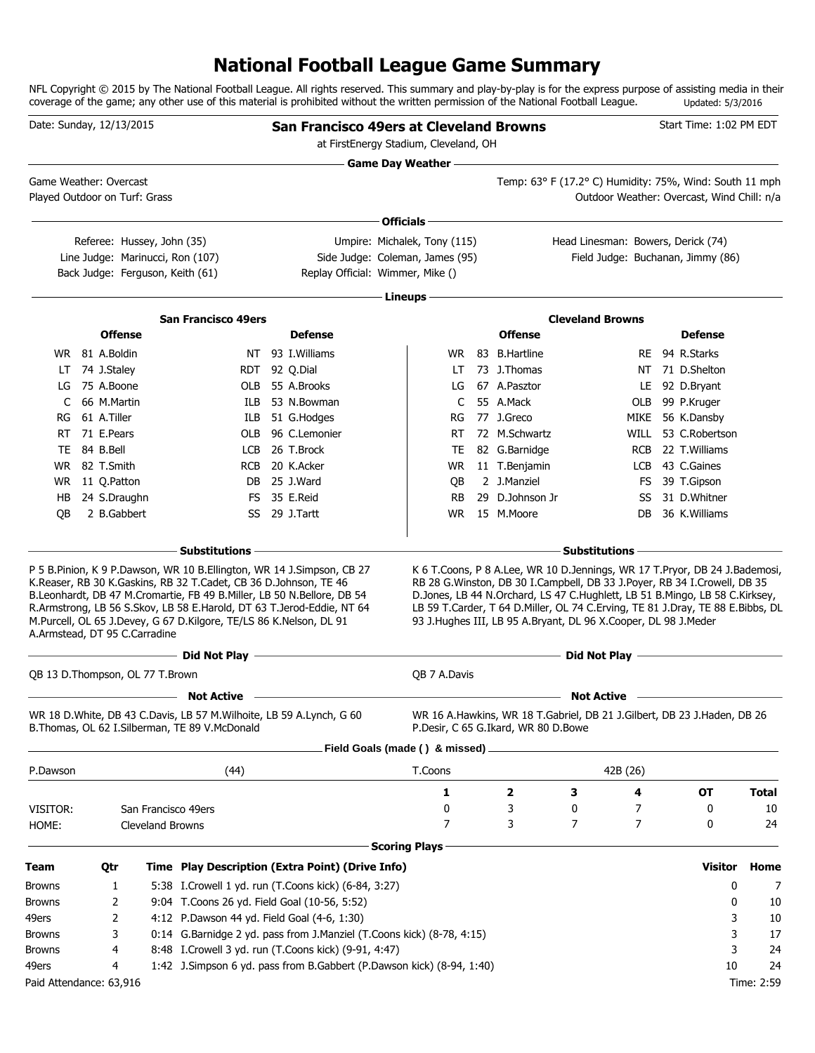# **National Football League Game Summary**

NFL Copyright © 2015 by The National Football League. All rights reserved. This summary and play-by-play is for the express purpose of assisting media in their coverage of the game; any other use of this material is prohibited without the written permission of the National Football League. Updated: 5/3/2016

| Date: Sunday, 12/13/2015 |                |                                                                |                                                                                                                                                                                                                                                                                                                                                                    | <b>San Francisco 49ers at Cleveland Browns</b>                                                                        |                      | at FirstEnergy Stadium, Cleveland, OH                           |                                     |                                                                                                                                                                                                                                                                                                                                                                                                    |            | Start Time: 1:02 PM EDT                          |              |
|--------------------------|----------------|----------------------------------------------------------------|--------------------------------------------------------------------------------------------------------------------------------------------------------------------------------------------------------------------------------------------------------------------------------------------------------------------------------------------------------------------|-----------------------------------------------------------------------------------------------------------------------|----------------------|-----------------------------------------------------------------|-------------------------------------|----------------------------------------------------------------------------------------------------------------------------------------------------------------------------------------------------------------------------------------------------------------------------------------------------------------------------------------------------------------------------------------------------|------------|--------------------------------------------------|--------------|
| Game Weather: Overcast   |                | Played Outdoor on Turf: Grass                                  |                                                                                                                                                                                                                                                                                                                                                                    |                                                                                                                       |                      | <b>Game Day Weather —</b>                                       |                                     | <u> 1989 - Johann Barn, amerikansk politiker (d. 1989)</u><br>Temp: 63° F (17.2° C) Humidity: 75%, Wind: South 11 mph                                                                                                                                                                                                                                                                              |            | Outdoor Weather: Overcast, Wind Chill: n/a       |              |
|                          |                |                                                                |                                                                                                                                                                                                                                                                                                                                                                    |                                                                                                                       |                      |                                                                 |                                     |                                                                                                                                                                                                                                                                                                                                                                                                    |            |                                                  |              |
|                          |                |                                                                |                                                                                                                                                                                                                                                                                                                                                                    |                                                                                                                       | Officials -          |                                                                 |                                     |                                                                                                                                                                                                                                                                                                                                                                                                    |            |                                                  |              |
|                          |                | Referee: Hussey, John (35)<br>Line Judge: Marinucci, Ron (107) |                                                                                                                                                                                                                                                                                                                                                                    |                                                                                                                       |                      | Umpire: Michalek, Tony (115)<br>Side Judge: Coleman, James (95) |                                     | Head Linesman: Bowers, Derick (74)<br>Field Judge: Buchanan, Jimmy (86)                                                                                                                                                                                                                                                                                                                            |            |                                                  |              |
|                          |                | Back Judge: Ferguson, Keith (61)                               |                                                                                                                                                                                                                                                                                                                                                                    | Replay Official: Wimmer, Mike ()                                                                                      |                      |                                                                 |                                     |                                                                                                                                                                                                                                                                                                                                                                                                    |            |                                                  |              |
|                          |                |                                                                |                                                                                                                                                                                                                                                                                                                                                                    |                                                                                                                       | Lineups -            |                                                                 |                                     |                                                                                                                                                                                                                                                                                                                                                                                                    |            |                                                  |              |
|                          |                |                                                                | <b>San Francisco 49ers</b>                                                                                                                                                                                                                                                                                                                                         |                                                                                                                       |                      |                                                                 |                                     | <b>Cleveland Browns</b>                                                                                                                                                                                                                                                                                                                                                                            |            |                                                  |              |
|                          |                | <b>Offense</b>                                                 |                                                                                                                                                                                                                                                                                                                                                                    | <b>Defense</b>                                                                                                        |                      |                                                                 | <b>Offense</b>                      |                                                                                                                                                                                                                                                                                                                                                                                                    |            | <b>Defense</b>                                   |              |
|                          | WR 81 A.Boldin |                                                                |                                                                                                                                                                                                                                                                                                                                                                    | NT 93 I. Williams                                                                                                     |                      | WR.                                                             | 83 B.Hartline                       |                                                                                                                                                                                                                                                                                                                                                                                                    |            | RE 94 R.Starks                                   |              |
| LT                       | 74 J.Staley    |                                                                |                                                                                                                                                                                                                                                                                                                                                                    | RDT 92 Q.Dial                                                                                                         |                      | LT                                                              | 73 J.Thomas                         |                                                                                                                                                                                                                                                                                                                                                                                                    |            | NT 71 D.Shelton                                  |              |
| LG                       | 75 A.Boone     |                                                                | OLB                                                                                                                                                                                                                                                                                                                                                                | 55 A.Brooks                                                                                                           |                      | LG                                                              | 67 A.Pasztor                        |                                                                                                                                                                                                                                                                                                                                                                                                    |            | LE 92 D.Bryant                                   |              |
| C                        | 66 M.Martin    |                                                                | ILB.                                                                                                                                                                                                                                                                                                                                                               | 53 N.Bowman                                                                                                           |                      | C                                                               | 55 A.Mack                           |                                                                                                                                                                                                                                                                                                                                                                                                    | OLB        | 99 P.Kruger                                      |              |
| RG                       | 61 A.Tiller    |                                                                | ILB                                                                                                                                                                                                                                                                                                                                                                | 51 G.Hodges                                                                                                           |                      | RG                                                              | 77 J.Greco                          |                                                                                                                                                                                                                                                                                                                                                                                                    |            | MIKE 56 K.Dansby                                 |              |
| RT                       | 71 E.Pears     |                                                                | OLB                                                                                                                                                                                                                                                                                                                                                                | 96 C.Lemonier                                                                                                         |                      | RT                                                              | 72 M.Schwartz                       |                                                                                                                                                                                                                                                                                                                                                                                                    | WILL       | 53 C.Robertson                                   |              |
| TE                       | 84 B.Bell      |                                                                | LCB                                                                                                                                                                                                                                                                                                                                                                | 26 T.Brock                                                                                                            |                      | TE                                                              | 82 G.Barnidge                       |                                                                                                                                                                                                                                                                                                                                                                                                    | <b>RCB</b> | 22 T.Williams                                    |              |
| WR.                      | 82 T.Smith     |                                                                | <b>RCB</b>                                                                                                                                                                                                                                                                                                                                                         | 20 K.Acker                                                                                                            |                      | WR                                                              | 11 T.Benjamin                       |                                                                                                                                                                                                                                                                                                                                                                                                    | LCB        | 43 C.Gaines                                      |              |
| WR.                      | 11 Q.Patton    |                                                                |                                                                                                                                                                                                                                                                                                                                                                    | DB 25 J.Ward                                                                                                          |                      | QB                                                              | 2 J.Manziel                         |                                                                                                                                                                                                                                                                                                                                                                                                    |            | FS 39 T.Gipson                                   |              |
| HB                       |                | 24 S.Draughn                                                   |                                                                                                                                                                                                                                                                                                                                                                    | FS 35 E.Reid                                                                                                          |                      | <b>RB</b>                                                       | 29 D.Johnson Jr                     |                                                                                                                                                                                                                                                                                                                                                                                                    | SS         | 31 D.Whitner                                     |              |
| QB                       |                | 2 B.Gabbert                                                    |                                                                                                                                                                                                                                                                                                                                                                    | SS 29 J.Tartt                                                                                                         |                      | WR.                                                             | 15 M.Moore                          |                                                                                                                                                                                                                                                                                                                                                                                                    | DB         | 36 K.Williams                                    |              |
|                          |                |                                                                | – Substitutions                                                                                                                                                                                                                                                                                                                                                    |                                                                                                                       |                      |                                                                 |                                     | <b>Substitutions</b>                                                                                                                                                                                                                                                                                                                                                                               |            |                                                  |              |
|                          |                | A.Armstead, DT 95 C.Carradine                                  | P 5 B.Pinion, K 9 P.Dawson, WR 10 B.Ellington, WR 14 J.Simpson, CB 27<br>K.Reaser, RB 30 K.Gaskins, RB 32 T.Cadet, CB 36 D.Johnson, TE 46<br>B.Leonhardt, DB 47 M.Cromartie, FB 49 B.Miller, LB 50 N.Bellore, DB 54<br>R.Armstrong, LB 56 S.Skov, LB 58 E.Harold, DT 63 T.Jerod-Eddie, NT 64<br>M.Purcell, OL 65 J.Devey, G 67 D.Kilgore, TE/LS 86 K.Nelson, DL 91 |                                                                                                                       |                      |                                                                 |                                     | K 6 T. Coons, P 8 A. Lee, WR 10 D. Jennings, WR 17 T. Pryor, DB 24 J. Bademosi,<br>RB 28 G. Winston, DB 30 I. Campbell, DB 33 J. Poyer, RB 34 I. Crowell, DB 35<br>D.Jones, LB 44 N.Orchard, LS 47 C.Hughlett, LB 51 B.Mingo, LB 58 C.Kirksey,<br>LB 59 T.Carder, T 64 D.Miller, OL 74 C.Erving, TE 81 J.Dray, TE 88 E.Bibbs, DL<br>93 J.Hughes III, LB 95 A.Bryant, DL 96 X.Cooper, DL 98 J.Meder |            |                                                  |              |
|                          |                |                                                                | ----- Did Not Play --                                                                                                                                                                                                                                                                                                                                              | <u> 1989 - Johann Stoff, deutscher Stoff, der Stoff, der Stoff, der Stoff, der Stoff, der Stoff, der Stoff, der S</u> |                      |                                                                 |                                     | Did Not Play -                                                                                                                                                                                                                                                                                                                                                                                     |            | the control of the control of the control of the |              |
|                          |                | QB 13 D. Thompson, OL 77 T. Brown                              |                                                                                                                                                                                                                                                                                                                                                                    |                                                                                                                       |                      | QB 7 A.Davis                                                    |                                     |                                                                                                                                                                                                                                                                                                                                                                                                    |            |                                                  |              |
|                          |                |                                                                | <b>Not Active</b>                                                                                                                                                                                                                                                                                                                                                  |                                                                                                                       |                      |                                                                 |                                     | <b>Not Active</b>                                                                                                                                                                                                                                                                                                                                                                                  |            |                                                  |              |
|                          |                |                                                                | WR 18 D.White, DB 43 C.Davis, LB 57 M.Wilhoite, LB 59 A.Lynch, G 60<br>B. Thomas, OL 62 I. Silberman, TE 89 V. McDonald                                                                                                                                                                                                                                            |                                                                                                                       |                      |                                                                 | P.Desir, C 65 G.Ikard, WR 80 D.Bowe | WR 16 A.Hawkins, WR 18 T.Gabriel, DB 21 J.Gilbert, DB 23 J.Haden, DB 26                                                                                                                                                                                                                                                                                                                            |            |                                                  |              |
|                          |                |                                                                |                                                                                                                                                                                                                                                                                                                                                                    |                                                                                                                       |                      | Field Goals (made () & missed).                                 |                                     |                                                                                                                                                                                                                                                                                                                                                                                                    |            |                                                  |              |
| P.Dawson                 |                |                                                                | (44)                                                                                                                                                                                                                                                                                                                                                               |                                                                                                                       |                      | T.Coons                                                         |                                     | 42B (26)                                                                                                                                                                                                                                                                                                                                                                                           |            |                                                  |              |
|                          |                |                                                                |                                                                                                                                                                                                                                                                                                                                                                    |                                                                                                                       |                      | 1                                                               | 2                                   | З                                                                                                                                                                                                                                                                                                                                                                                                  | 4          | <b>OT</b>                                        | <b>Total</b> |
| VISITOR:                 |                |                                                                | San Francisco 49ers                                                                                                                                                                                                                                                                                                                                                |                                                                                                                       |                      | 0                                                               | 3                                   | 0                                                                                                                                                                                                                                                                                                                                                                                                  | 7          | 0                                                | 10           |
| HOME:                    |                | Cleveland Browns                                               |                                                                                                                                                                                                                                                                                                                                                                    |                                                                                                                       |                      | 7                                                               | 3                                   | 7                                                                                                                                                                                                                                                                                                                                                                                                  | 7          | 0                                                | 24           |
|                          |                |                                                                |                                                                                                                                                                                                                                                                                                                                                                    |                                                                                                                       | <b>Scoring Plays</b> |                                                                 |                                     |                                                                                                                                                                                                                                                                                                                                                                                                    |            |                                                  |              |
| Team                     | Qtr            |                                                                | Time Play Description (Extra Point) (Drive Info)                                                                                                                                                                                                                                                                                                                   |                                                                                                                       |                      |                                                                 |                                     |                                                                                                                                                                                                                                                                                                                                                                                                    |            | <b>Visitor</b>                                   | Home         |
| <b>Browns</b>            |                | 1                                                              | 5:38 I.Crowell 1 yd. run (T.Coons kick) (6-84, 3:27)                                                                                                                                                                                                                                                                                                               |                                                                                                                       |                      |                                                                 |                                     |                                                                                                                                                                                                                                                                                                                                                                                                    |            | 0                                                | 7            |
| <b>Browns</b>            |                | 2                                                              | 9:04 T. Coons 26 yd. Field Goal (10-56, 5:52)                                                                                                                                                                                                                                                                                                                      |                                                                                                                       |                      |                                                                 |                                     |                                                                                                                                                                                                                                                                                                                                                                                                    |            | 0                                                | 10           |
| 49ers                    |                | 2                                                              | 4:12 P.Dawson 44 yd. Field Goal (4-6, 1:30)                                                                                                                                                                                                                                                                                                                        |                                                                                                                       |                      |                                                                 |                                     |                                                                                                                                                                                                                                                                                                                                                                                                    |            | 3                                                | 10           |
| Browns                   |                | 3                                                              | 0:14 G.Barnidge 2 yd. pass from J.Manziel (T.Coons kick) (8-78, 4:15)                                                                                                                                                                                                                                                                                              |                                                                                                                       |                      |                                                                 |                                     |                                                                                                                                                                                                                                                                                                                                                                                                    |            | 3                                                | 17           |
| <b>Browns</b><br>49ers   |                | 4<br>4                                                         | 8:48 I.Crowell 3 yd. run (T.Coons kick) (9-91, 4:47)<br>1:42 J.Simpson 6 yd. pass from B.Gabbert (P.Dawson kick) (8-94, 1:40)                                                                                                                                                                                                                                      |                                                                                                                       |                      |                                                                 |                                     |                                                                                                                                                                                                                                                                                                                                                                                                    |            | 3<br>10                                          | 24<br>24     |
|                          |                |                                                                |                                                                                                                                                                                                                                                                                                                                                                    |                                                                                                                       |                      |                                                                 |                                     |                                                                                                                                                                                                                                                                                                                                                                                                    |            |                                                  |              |
| Paid Attendance: 63,916  |                |                                                                |                                                                                                                                                                                                                                                                                                                                                                    |                                                                                                                       |                      |                                                                 |                                     |                                                                                                                                                                                                                                                                                                                                                                                                    |            |                                                  | Time: 2:59   |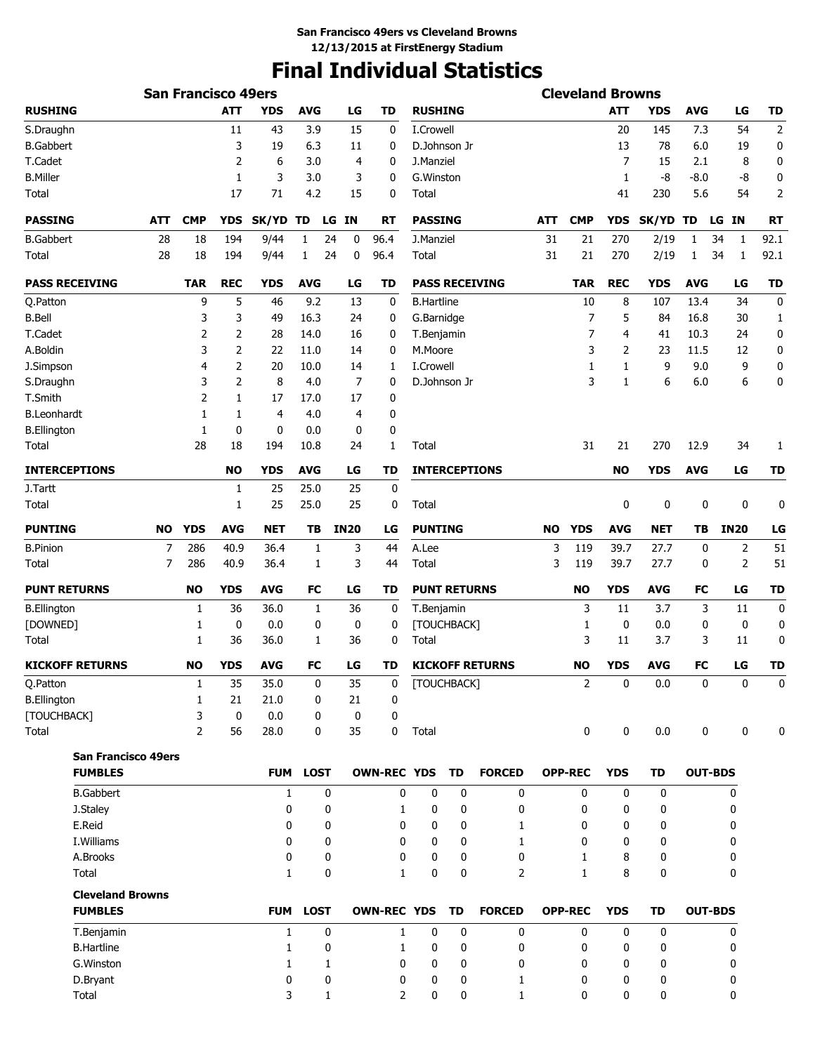# **Final Individual Statistics**

|                                           |     | <b>San Francisco 49ers</b> |             |              |              |             |                    |                     |           |                        |           | <b>Cleveland Browns</b> |                |             |             |                |                |
|-------------------------------------------|-----|----------------------------|-------------|--------------|--------------|-------------|--------------------|---------------------|-----------|------------------------|-----------|-------------------------|----------------|-------------|-------------|----------------|----------------|
| <b>RUSHING</b>                            |     |                            | <b>ATT</b>  | YDS          | <b>AVG</b>   | LG          | TD                 | <b>RUSHING</b>      |           |                        |           |                         | ATT            | YDS         | <b>AVG</b>  | LG             | TD             |
| S.Draughn                                 |     |                            | 11          | 43           | 3.9          | 15          | 0                  | I.Crowell           |           |                        |           |                         | 20             | 145         | 7.3         | 54             | $\overline{2}$ |
| <b>B.Gabbert</b>                          |     |                            | 3           | 19           | 6.3          | 11          | 0                  | D.Johnson Jr        |           |                        |           |                         | 13             | 78          | 6.0         | 19             | 0              |
| T.Cadet                                   |     |                            | 2           | 6            | 3.0          | 4           | 0                  | J.Manziel           |           |                        |           |                         | $\overline{7}$ | 15          | 2.1         | 8              | 0              |
| <b>B.Miller</b>                           |     |                            | 1           | 3            | 3.0          | 3           | 0                  | G. Winston          |           |                        |           |                         | 1              | -8          | $-8.0$      | -8             | 0              |
| Total                                     |     |                            | 17          | 71           | 4.2          | 15          | 0                  | Total               |           |                        |           |                         | 41             | 230         | 5.6         | 54             | $\overline{2}$ |
| <b>PASSING</b>                            | ATT | <b>CMP</b>                 | <b>YDS</b>  | SK/YD        | TD           | LG IN       | <b>RT</b>          | <b>PASSING</b>      |           |                        | ATT       | <b>CMP</b>              | <b>YDS</b>     | SK/YD TD    |             | LG IN          | <b>RT</b>      |
| <b>B.Gabbert</b>                          | 28  | 18                         | 194         | 9/44         | 1            | 24<br>0     | 96.4               | J.Manziel           |           |                        | 31        | 21                      | 270            | 2/19        | 1           | 34<br>1        | 92.1           |
| Total                                     | 28  | 18                         | 194         | 9/44         | $\mathbf{1}$ | 24<br>0     | 96.4               | Total               |           |                        | 31        | 21                      | 270            | 2/19        | 1           | 34<br>1        | 92.1           |
| <b>PASS RECEIVING</b>                     |     | <b>TAR</b>                 | <b>REC</b>  | <b>YDS</b>   | <b>AVG</b>   | LG          | TD                 |                     |           | <b>PASS RECEIVING</b>  |           | <b>TAR</b>              | <b>REC</b>     | <b>YDS</b>  | <b>AVG</b>  | LG             | <b>TD</b>      |
| Q.Patton                                  |     | 9                          | 5           | 46           | 9.2          | 13          | 0                  | <b>B.Hartline</b>   |           |                        |           | 10                      | 8              | 107         | 13.4        | 34             | 0              |
| <b>B.Bell</b>                             |     | 3                          | 3           | 49           | 16.3         | 24          | 0                  | G.Barnidge          |           |                        |           | 7                       | 5              | 84          | 16.8        | 30             | 1              |
| T.Cadet                                   |     | 2                          | 2           | 28           | 14.0         | 16          | 0                  | T.Benjamin          |           |                        |           | 7                       | 4              | 41          | 10.3        | 24             | 0              |
| A.Boldin                                  |     | 3                          | 2           | 22           | 11.0         | 14          | 0                  | M.Moore             |           |                        |           | 3                       | 2              | 23          | 11.5        | 12             | 0              |
| J.Simpson                                 |     | 4                          | 2           | 20           | 10.0         | 14          | 1                  | I.Crowell           |           |                        |           | 1                       | 1              | 9           | 9.0         | 9              | 0              |
| S.Draughn                                 |     | 3                          | 2           | 8            | 4.0          | 7           | 0                  | D.Johnson Jr        |           |                        |           | 3                       | 1              | 6           | 6.0         | 6              | 0              |
| T.Smith                                   |     | 2                          | 1           | 17           | 17.0         | 17          | 0                  |                     |           |                        |           |                         |                |             |             |                |                |
| B.Leonhardt                               |     | 1                          | 1           | 4            | 4.0          | 4           | 0                  |                     |           |                        |           |                         |                |             |             |                |                |
| <b>B.Ellington</b>                        |     | 1                          | 0           | 0            | 0.0          | 0           | 0                  |                     |           |                        |           |                         |                |             |             |                |                |
| Total                                     |     | 28                         | 18          | 194          | 10.8         | 24          | 1                  | Total               |           |                        |           | 31                      | 21             | 270         | 12.9        | 34             | 1              |
| <b>INTERCEPTIONS</b>                      |     |                            | <b>NO</b>   | <b>YDS</b>   | <b>AVG</b>   | LG          | TD                 |                     |           | <b>INTERCEPTIONS</b>   |           |                         | <b>NO</b>      | <b>YDS</b>  | <b>AVG</b>  | LG             | <b>TD</b>      |
| J.Tartt                                   |     |                            | 1           | 25           | 25.0         | 25          | $\mathbf 0$        |                     |           |                        |           |                         |                |             |             |                |                |
| Total                                     |     |                            | 1           | 25           | 25.0         | 25          | 0                  | Total               |           |                        |           |                         | 0              | 0           | $\mathbf 0$ | 0              | 0              |
| <b>PUNTING</b>                            | NO  | <b>YDS</b>                 | <b>AVG</b>  | <b>NET</b>   | ТB           | <b>IN20</b> | LG                 | <b>PUNTING</b>      |           |                        | <b>NO</b> | <b>YDS</b>              | <b>AVG</b>     | <b>NET</b>  | ТB          | <b>IN20</b>    | LG             |
| <b>B.Pinion</b>                           | 7   | 286                        | 40.9        | 36.4         | 1            | 3           | 44                 | A.Lee               |           |                        | 3         | 119                     | 39.7           | 27.7        | 0           | 2              | 51             |
| Total                                     | 7   | 286                        | 40.9        | 36.4         | 1            | 3           | 44                 | Total               |           |                        | 3         | 119                     | 39.7           | 27.7        | 0           | 2              | 51             |
| <b>PUNT RETURNS</b>                       |     | <b>NO</b>                  | <b>YDS</b>  | <b>AVG</b>   | FC           | LG          | <b>TD</b>          | <b>PUNT RETURNS</b> |           |                        |           | <b>NO</b>               | <b>YDS</b>     | <b>AVG</b>  | FC          | LG             | <b>TD</b>      |
| <b>B.Ellington</b>                        |     | 1                          | 36          | 36.0         | 1            | 36          | 0                  | T.Benjamin          |           |                        |           | 3                       | 11             | 3.7         | 3           | 11             | 0              |
| [DOWNED]                                  |     | 1                          | 0           | 0.0          | 0            | 0           | 0                  | [TOUCHBACK]         |           |                        |           | 1                       | 0              | 0.0         | 0           | 0              | 0              |
| Total                                     |     | 1                          | 36          | 36.0         | 1            | 36          | 0                  | Total               |           |                        |           | 3                       | 11             | 3.7         | 3           | 11             | 0              |
| <b>KICKOFF RETURNS</b>                    |     | <b>NO</b>                  | <b>YDS</b>  | <b>AVG</b>   | <b>FC</b>    | LG          | TD                 |                     |           | <b>KICKOFF RETURNS</b> |           | <b>NO</b>               | <b>YDS</b>     | <b>AVG</b>  | FC          | LG             | TD             |
| Q.Patton                                  |     | 1                          | 35          | 35.0         | 0            | 35          | 0                  | [TOUCHBACK]         |           |                        |           | 2                       | 0              | 0.0         | 0           | 0              |                |
| <b>B.Ellington</b>                        |     | 1                          | 21          | 21.0         | 0            | 21          | 0                  |                     |           |                        |           |                         |                |             |             |                |                |
| [TOUCHBACK]                               |     | 3                          | $\mathbf 0$ | 0.0          | 0            | 0           | 0                  |                     |           |                        |           |                         |                |             |             |                |                |
| Total                                     |     | 2                          | 56          | 28.0         | 0            | 35          | 0                  | Total               |           |                        |           | 0                       | 0              | 0.0         | 0           | 0              | 0              |
| <b>San Francisco 49ers</b>                |     |                            |             |              |              |             |                    |                     |           |                        |           |                         |                |             |             |                |                |
| <b>FUMBLES</b>                            |     |                            |             | <b>FUM</b>   | <b>LOST</b>  |             | <b>OWN-REC YDS</b> |                     | TD        | <b>FORCED</b>          |           | <b>OPP-REC</b>          | <b>YDS</b>     | <b>TD</b>   |             | <b>OUT-BDS</b> |                |
| <b>B.Gabbert</b>                          |     |                            |             | $\mathbf{1}$ | $\mathbf 0$  |             | 0                  | $\mathbf 0$         | 0         | $\mathbf 0$            |           | $\mathbf{0}$            | $\mathbf{0}$   | $\mathbf 0$ |             | 0              |                |
| J.Staley                                  |     |                            |             | 0            | 0            |             | 1                  | 0                   | 0         | 0                      |           | 0                       | 0              | $\mathbf 0$ |             | 0              |                |
| E.Reid                                    |     |                            |             | 0            | 0            |             | 0                  | 0                   | 0         | 1                      |           | 0                       | 0              | $\mathbf 0$ |             | 0              |                |
| I. Williams                               |     |                            |             | 0            | 0            |             | 0                  | 0                   | 0         | 1                      |           | 0                       | 0              | 0           |             | 0              |                |
| A.Brooks                                  |     |                            |             | 0            | 0            |             | 0                  | 0                   | 0         | 0                      |           | 1                       | 8              | $\mathbf 0$ |             | 0              |                |
| Total                                     |     |                            |             | $\mathbf{1}$ | 0            |             | $\mathbf{1}$       | 0                   | 0         | $\overline{2}$         |           | $\mathbf{1}$            | 8              | $\mathbf 0$ |             | 0              |                |
| <b>Cleveland Browns</b><br><b>FUMBLES</b> |     |                            |             |              | FUM LOST     |             | <b>OWN-REC YDS</b> |                     | <b>TD</b> | <b>FORCED</b>          |           | <b>OPP-REC</b>          | <b>YDS</b>     | TD          |             | <b>OUT-BDS</b> |                |
|                                           |     |                            |             |              |              |             |                    |                     |           |                        |           |                         |                |             |             |                |                |
| T.Benjamin                                |     |                            |             | $\mathbf{1}$ | 0            |             | 1                  | 0                   | 0         | 0                      |           | 0                       | 0              | 0           |             | 0              |                |
| <b>B.Hartline</b>                         |     |                            |             | 1            | 0            |             | 1                  | 0                   | 0         | 0                      |           | 0                       | 0              | 0           |             | 0              |                |
| G. Winston                                |     |                            |             | $\mathbf{1}$ | 1            |             | $\mathbf{0}$       | 0                   | 0         | 0                      |           | 0                       | 0              | 0           |             | 0              |                |
| D.Bryant                                  |     |                            |             | 0            | 0            |             | 0                  | 0                   | 0         | 1                      |           | 0                       | 0              | 0           |             | 0              |                |
| Total                                     |     |                            |             | 3            | 1            |             | 2                  | 0                   | 0         | 1                      |           | 0                       | 0              | 0           |             | 0              |                |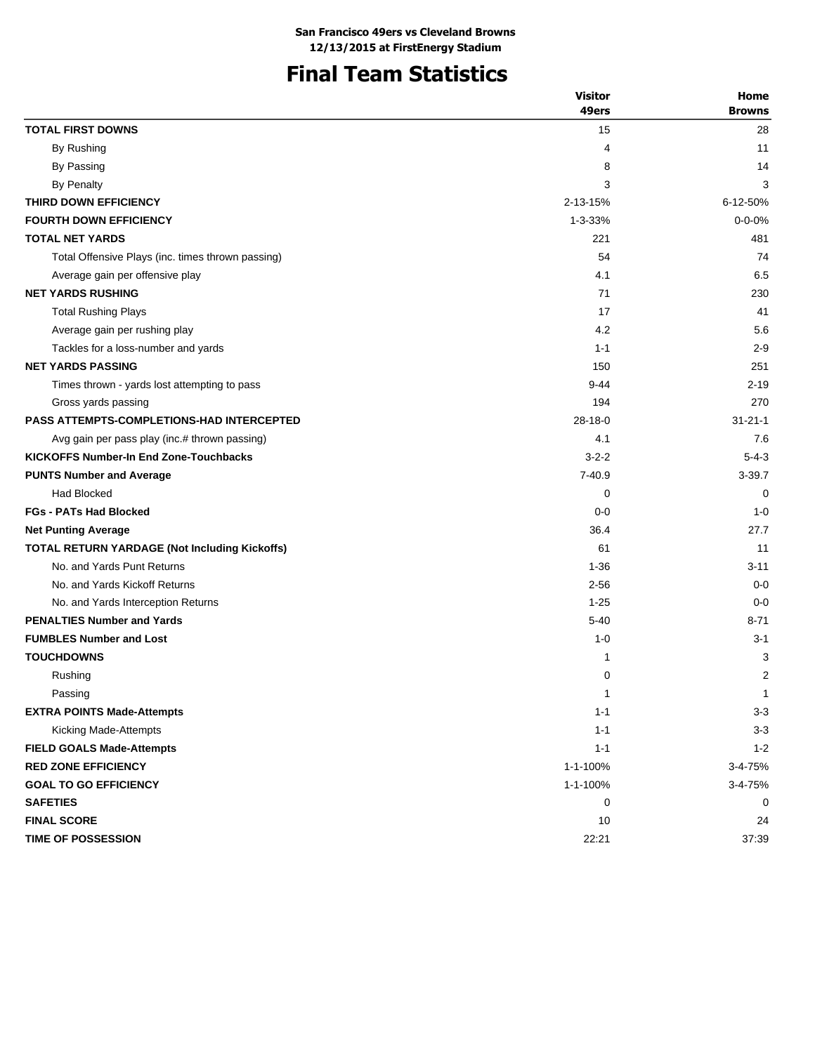# **Final Team Statistics**

| 49ers<br><b>Browns</b><br><b>TOTAL FIRST DOWNS</b><br>28<br>15<br>By Rushing<br>11<br>4<br>By Passing<br>8<br>14<br><b>By Penalty</b><br>3<br>3<br>THIRD DOWN EFFICIENCY<br>2-13-15%<br>6-12-50%<br><b>FOURTH DOWN EFFICIENCY</b><br>$1 - 3 - 33%$<br>$0 - 0 - 0%$<br><b>TOTAL NET YARDS</b><br>221<br>481<br>Total Offensive Plays (inc. times thrown passing)<br>54<br>74<br>4.1<br>6.5<br>Average gain per offensive play<br><b>NET YARDS RUSHING</b><br>71<br>230<br>17<br>41<br><b>Total Rushing Plays</b><br>5.6<br>4.2<br>Average gain per rushing play<br>Tackles for a loss-number and yards<br>$1 - 1$<br>$2 - 9$<br><b>NET YARDS PASSING</b><br>150<br>251<br>$9 - 44$<br>$2 - 19$<br>Times thrown - yards lost attempting to pass<br>Gross yards passing<br>194<br>270<br>$28-18-0$<br><b>PASS ATTEMPTS-COMPLETIONS-HAD INTERCEPTED</b><br>$31 - 21 - 1$<br>4.1<br>7.6<br>Avg gain per pass play (inc.# thrown passing)<br><b>KICKOFFS Number-In End Zone-Touchbacks</b><br>$3 - 2 - 2$<br>$5-4-3$<br>$7 - 40.9$<br>$3 - 39.7$<br><b>PUNTS Number and Average</b><br><b>Had Blocked</b><br>0<br>$\Omega$<br><b>FGs - PATs Had Blocked</b><br>$0 - 0$<br>$1 - 0$<br>36.4<br>27.7<br><b>Net Punting Average</b><br><b>TOTAL RETURN YARDAGE (Not Including Kickoffs)</b><br>61<br>11<br>No. and Yards Punt Returns<br>$1 - 36$<br>$3 - 11$<br>No. and Yards Kickoff Returns<br>$2 - 56$<br>$0 - 0$<br>No. and Yards Interception Returns<br>$1 - 25$<br>$0 - 0$<br><b>PENALTIES Number and Yards</b><br>$5 - 40$<br>8-71<br><b>FUMBLES Number and Lost</b><br>$1 - 0$<br>$3 - 1$<br><b>TOUCHDOWNS</b><br>3<br>1<br>0<br>2<br>Rushing<br>$\mathbf{1}$<br>$\mathbf{1}$<br>Passing<br><b>EXTRA POINTS Made-Attempts</b><br>$1 - 1$<br>$3 - 3$<br>$3-3$<br>Kicking Made-Attempts<br>$1 - 1$<br>$1 - 2$<br><b>FIELD GOALS Made-Attempts</b><br>$1 - 1$<br><b>RED ZONE EFFICIENCY</b><br>1-1-100%<br>3-4-75% | <b>Visitor</b> | Home |
|-----------------------------------------------------------------------------------------------------------------------------------------------------------------------------------------------------------------------------------------------------------------------------------------------------------------------------------------------------------------------------------------------------------------------------------------------------------------------------------------------------------------------------------------------------------------------------------------------------------------------------------------------------------------------------------------------------------------------------------------------------------------------------------------------------------------------------------------------------------------------------------------------------------------------------------------------------------------------------------------------------------------------------------------------------------------------------------------------------------------------------------------------------------------------------------------------------------------------------------------------------------------------------------------------------------------------------------------------------------------------------------------------------------------------------------------------------------------------------------------------------------------------------------------------------------------------------------------------------------------------------------------------------------------------------------------------------------------------------------------------------------------------------------------------------------------------------------------------------------------------------------------------------------------|----------------|------|
|                                                                                                                                                                                                                                                                                                                                                                                                                                                                                                                                                                                                                                                                                                                                                                                                                                                                                                                                                                                                                                                                                                                                                                                                                                                                                                                                                                                                                                                                                                                                                                                                                                                                                                                                                                                                                                                                                                                 |                |      |
|                                                                                                                                                                                                                                                                                                                                                                                                                                                                                                                                                                                                                                                                                                                                                                                                                                                                                                                                                                                                                                                                                                                                                                                                                                                                                                                                                                                                                                                                                                                                                                                                                                                                                                                                                                                                                                                                                                                 |                |      |
|                                                                                                                                                                                                                                                                                                                                                                                                                                                                                                                                                                                                                                                                                                                                                                                                                                                                                                                                                                                                                                                                                                                                                                                                                                                                                                                                                                                                                                                                                                                                                                                                                                                                                                                                                                                                                                                                                                                 |                |      |
|                                                                                                                                                                                                                                                                                                                                                                                                                                                                                                                                                                                                                                                                                                                                                                                                                                                                                                                                                                                                                                                                                                                                                                                                                                                                                                                                                                                                                                                                                                                                                                                                                                                                                                                                                                                                                                                                                                                 |                |      |
|                                                                                                                                                                                                                                                                                                                                                                                                                                                                                                                                                                                                                                                                                                                                                                                                                                                                                                                                                                                                                                                                                                                                                                                                                                                                                                                                                                                                                                                                                                                                                                                                                                                                                                                                                                                                                                                                                                                 |                |      |
|                                                                                                                                                                                                                                                                                                                                                                                                                                                                                                                                                                                                                                                                                                                                                                                                                                                                                                                                                                                                                                                                                                                                                                                                                                                                                                                                                                                                                                                                                                                                                                                                                                                                                                                                                                                                                                                                                                                 |                |      |
|                                                                                                                                                                                                                                                                                                                                                                                                                                                                                                                                                                                                                                                                                                                                                                                                                                                                                                                                                                                                                                                                                                                                                                                                                                                                                                                                                                                                                                                                                                                                                                                                                                                                                                                                                                                                                                                                                                                 |                |      |
|                                                                                                                                                                                                                                                                                                                                                                                                                                                                                                                                                                                                                                                                                                                                                                                                                                                                                                                                                                                                                                                                                                                                                                                                                                                                                                                                                                                                                                                                                                                                                                                                                                                                                                                                                                                                                                                                                                                 |                |      |
|                                                                                                                                                                                                                                                                                                                                                                                                                                                                                                                                                                                                                                                                                                                                                                                                                                                                                                                                                                                                                                                                                                                                                                                                                                                                                                                                                                                                                                                                                                                                                                                                                                                                                                                                                                                                                                                                                                                 |                |      |
|                                                                                                                                                                                                                                                                                                                                                                                                                                                                                                                                                                                                                                                                                                                                                                                                                                                                                                                                                                                                                                                                                                                                                                                                                                                                                                                                                                                                                                                                                                                                                                                                                                                                                                                                                                                                                                                                                                                 |                |      |
|                                                                                                                                                                                                                                                                                                                                                                                                                                                                                                                                                                                                                                                                                                                                                                                                                                                                                                                                                                                                                                                                                                                                                                                                                                                                                                                                                                                                                                                                                                                                                                                                                                                                                                                                                                                                                                                                                                                 |                |      |
|                                                                                                                                                                                                                                                                                                                                                                                                                                                                                                                                                                                                                                                                                                                                                                                                                                                                                                                                                                                                                                                                                                                                                                                                                                                                                                                                                                                                                                                                                                                                                                                                                                                                                                                                                                                                                                                                                                                 |                |      |
|                                                                                                                                                                                                                                                                                                                                                                                                                                                                                                                                                                                                                                                                                                                                                                                                                                                                                                                                                                                                                                                                                                                                                                                                                                                                                                                                                                                                                                                                                                                                                                                                                                                                                                                                                                                                                                                                                                                 |                |      |
|                                                                                                                                                                                                                                                                                                                                                                                                                                                                                                                                                                                                                                                                                                                                                                                                                                                                                                                                                                                                                                                                                                                                                                                                                                                                                                                                                                                                                                                                                                                                                                                                                                                                                                                                                                                                                                                                                                                 |                |      |
|                                                                                                                                                                                                                                                                                                                                                                                                                                                                                                                                                                                                                                                                                                                                                                                                                                                                                                                                                                                                                                                                                                                                                                                                                                                                                                                                                                                                                                                                                                                                                                                                                                                                                                                                                                                                                                                                                                                 |                |      |
|                                                                                                                                                                                                                                                                                                                                                                                                                                                                                                                                                                                                                                                                                                                                                                                                                                                                                                                                                                                                                                                                                                                                                                                                                                                                                                                                                                                                                                                                                                                                                                                                                                                                                                                                                                                                                                                                                                                 |                |      |
|                                                                                                                                                                                                                                                                                                                                                                                                                                                                                                                                                                                                                                                                                                                                                                                                                                                                                                                                                                                                                                                                                                                                                                                                                                                                                                                                                                                                                                                                                                                                                                                                                                                                                                                                                                                                                                                                                                                 |                |      |
|                                                                                                                                                                                                                                                                                                                                                                                                                                                                                                                                                                                                                                                                                                                                                                                                                                                                                                                                                                                                                                                                                                                                                                                                                                                                                                                                                                                                                                                                                                                                                                                                                                                                                                                                                                                                                                                                                                                 |                |      |
|                                                                                                                                                                                                                                                                                                                                                                                                                                                                                                                                                                                                                                                                                                                                                                                                                                                                                                                                                                                                                                                                                                                                                                                                                                                                                                                                                                                                                                                                                                                                                                                                                                                                                                                                                                                                                                                                                                                 |                |      |
|                                                                                                                                                                                                                                                                                                                                                                                                                                                                                                                                                                                                                                                                                                                                                                                                                                                                                                                                                                                                                                                                                                                                                                                                                                                                                                                                                                                                                                                                                                                                                                                                                                                                                                                                                                                                                                                                                                                 |                |      |
|                                                                                                                                                                                                                                                                                                                                                                                                                                                                                                                                                                                                                                                                                                                                                                                                                                                                                                                                                                                                                                                                                                                                                                                                                                                                                                                                                                                                                                                                                                                                                                                                                                                                                                                                                                                                                                                                                                                 |                |      |
|                                                                                                                                                                                                                                                                                                                                                                                                                                                                                                                                                                                                                                                                                                                                                                                                                                                                                                                                                                                                                                                                                                                                                                                                                                                                                                                                                                                                                                                                                                                                                                                                                                                                                                                                                                                                                                                                                                                 |                |      |
|                                                                                                                                                                                                                                                                                                                                                                                                                                                                                                                                                                                                                                                                                                                                                                                                                                                                                                                                                                                                                                                                                                                                                                                                                                                                                                                                                                                                                                                                                                                                                                                                                                                                                                                                                                                                                                                                                                                 |                |      |
|                                                                                                                                                                                                                                                                                                                                                                                                                                                                                                                                                                                                                                                                                                                                                                                                                                                                                                                                                                                                                                                                                                                                                                                                                                                                                                                                                                                                                                                                                                                                                                                                                                                                                                                                                                                                                                                                                                                 |                |      |
|                                                                                                                                                                                                                                                                                                                                                                                                                                                                                                                                                                                                                                                                                                                                                                                                                                                                                                                                                                                                                                                                                                                                                                                                                                                                                                                                                                                                                                                                                                                                                                                                                                                                                                                                                                                                                                                                                                                 |                |      |
|                                                                                                                                                                                                                                                                                                                                                                                                                                                                                                                                                                                                                                                                                                                                                                                                                                                                                                                                                                                                                                                                                                                                                                                                                                                                                                                                                                                                                                                                                                                                                                                                                                                                                                                                                                                                                                                                                                                 |                |      |
|                                                                                                                                                                                                                                                                                                                                                                                                                                                                                                                                                                                                                                                                                                                                                                                                                                                                                                                                                                                                                                                                                                                                                                                                                                                                                                                                                                                                                                                                                                                                                                                                                                                                                                                                                                                                                                                                                                                 |                |      |
|                                                                                                                                                                                                                                                                                                                                                                                                                                                                                                                                                                                                                                                                                                                                                                                                                                                                                                                                                                                                                                                                                                                                                                                                                                                                                                                                                                                                                                                                                                                                                                                                                                                                                                                                                                                                                                                                                                                 |                |      |
|                                                                                                                                                                                                                                                                                                                                                                                                                                                                                                                                                                                                                                                                                                                                                                                                                                                                                                                                                                                                                                                                                                                                                                                                                                                                                                                                                                                                                                                                                                                                                                                                                                                                                                                                                                                                                                                                                                                 |                |      |
|                                                                                                                                                                                                                                                                                                                                                                                                                                                                                                                                                                                                                                                                                                                                                                                                                                                                                                                                                                                                                                                                                                                                                                                                                                                                                                                                                                                                                                                                                                                                                                                                                                                                                                                                                                                                                                                                                                                 |                |      |
|                                                                                                                                                                                                                                                                                                                                                                                                                                                                                                                                                                                                                                                                                                                                                                                                                                                                                                                                                                                                                                                                                                                                                                                                                                                                                                                                                                                                                                                                                                                                                                                                                                                                                                                                                                                                                                                                                                                 |                |      |
|                                                                                                                                                                                                                                                                                                                                                                                                                                                                                                                                                                                                                                                                                                                                                                                                                                                                                                                                                                                                                                                                                                                                                                                                                                                                                                                                                                                                                                                                                                                                                                                                                                                                                                                                                                                                                                                                                                                 |                |      |
|                                                                                                                                                                                                                                                                                                                                                                                                                                                                                                                                                                                                                                                                                                                                                                                                                                                                                                                                                                                                                                                                                                                                                                                                                                                                                                                                                                                                                                                                                                                                                                                                                                                                                                                                                                                                                                                                                                                 |                |      |
|                                                                                                                                                                                                                                                                                                                                                                                                                                                                                                                                                                                                                                                                                                                                                                                                                                                                                                                                                                                                                                                                                                                                                                                                                                                                                                                                                                                                                                                                                                                                                                                                                                                                                                                                                                                                                                                                                                                 |                |      |
|                                                                                                                                                                                                                                                                                                                                                                                                                                                                                                                                                                                                                                                                                                                                                                                                                                                                                                                                                                                                                                                                                                                                                                                                                                                                                                                                                                                                                                                                                                                                                                                                                                                                                                                                                                                                                                                                                                                 |                |      |
|                                                                                                                                                                                                                                                                                                                                                                                                                                                                                                                                                                                                                                                                                                                                                                                                                                                                                                                                                                                                                                                                                                                                                                                                                                                                                                                                                                                                                                                                                                                                                                                                                                                                                                                                                                                                                                                                                                                 |                |      |
|                                                                                                                                                                                                                                                                                                                                                                                                                                                                                                                                                                                                                                                                                                                                                                                                                                                                                                                                                                                                                                                                                                                                                                                                                                                                                                                                                                                                                                                                                                                                                                                                                                                                                                                                                                                                                                                                                                                 |                |      |
| <b>GOAL TO GO EFFICIENCY</b><br>1-1-100%<br>3-4-75%                                                                                                                                                                                                                                                                                                                                                                                                                                                                                                                                                                                                                                                                                                                                                                                                                                                                                                                                                                                                                                                                                                                                                                                                                                                                                                                                                                                                                                                                                                                                                                                                                                                                                                                                                                                                                                                             |                |      |
| <b>SAFETIES</b><br>0<br>0                                                                                                                                                                                                                                                                                                                                                                                                                                                                                                                                                                                                                                                                                                                                                                                                                                                                                                                                                                                                                                                                                                                                                                                                                                                                                                                                                                                                                                                                                                                                                                                                                                                                                                                                                                                                                                                                                       |                |      |
| <b>FINAL SCORE</b><br>10<br>24                                                                                                                                                                                                                                                                                                                                                                                                                                                                                                                                                                                                                                                                                                                                                                                                                                                                                                                                                                                                                                                                                                                                                                                                                                                                                                                                                                                                                                                                                                                                                                                                                                                                                                                                                                                                                                                                                  |                |      |
| 22:21<br><b>TIME OF POSSESSION</b><br>37:39                                                                                                                                                                                                                                                                                                                                                                                                                                                                                                                                                                                                                                                                                                                                                                                                                                                                                                                                                                                                                                                                                                                                                                                                                                                                                                                                                                                                                                                                                                                                                                                                                                                                                                                                                                                                                                                                     |                |      |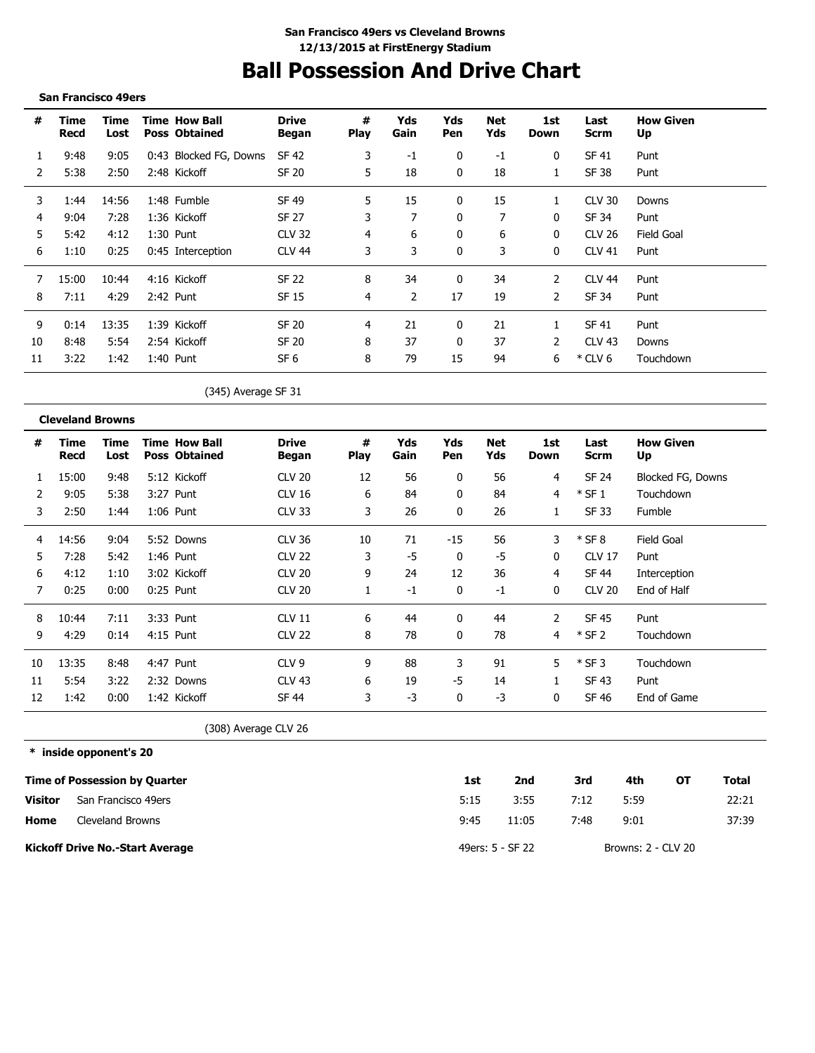# **Ball Possession And Drive Chart**

#### **San Francisco 49ers**

| #  | Time<br>Recd | Time<br>Lost | <b>Time How Ball</b><br><b>Poss Obtained</b> | <b>Drive</b><br>Began | #<br><b>Play</b> | Yds<br>Gain | Yds<br>Pen   | Net<br>Yds | 1st<br>Down | Last<br>Scrm  | <b>How Given</b><br>Up |
|----|--------------|--------------|----------------------------------------------|-----------------------|------------------|-------------|--------------|------------|-------------|---------------|------------------------|
|    | 9:48         | 9:05         | 0:43 Blocked FG, Downs                       | SF 42                 | 3                | $-1$        | 0            | $-1$       | 0           | SF 41         | Punt                   |
| 2  | 5:38         | 2:50         | 2:48 Kickoff                                 | <b>SF 20</b>          | 5                | 18          | $\mathbf{0}$ | 18         |             | <b>SF 38</b>  | Punt                   |
| 3  | 1:44         | 14:56        | 1:48 Fumble                                  | SF 49                 | 5                | 15          | 0            | 15         | 1           | <b>CLV 30</b> | Downs                  |
| 4  | 9:04         | 7:28         | 1:36 Kickoff                                 | <b>SF 27</b>          | 3                | 7           | 0            | 7          | 0           | SF 34         | Punt                   |
| 5  | 5:42         | 4:12         | $1:30$ Punt                                  | <b>CLV 32</b>         | 4                | 6           | 0            | 6          | 0           | CLV 26        | Field Goal             |
| 6  | 1:10         | 0:25         | 0:45 Interception                            | <b>CLV 44</b>         | 3                | 3           | $\mathbf{0}$ | 3          | 0           | <b>CLV 41</b> | Punt                   |
|    | 15:00        | 10:44        | 4:16 Kickoff                                 | <b>SF 22</b>          | 8                | 34          | 0            | 34         | 2           | <b>CLV 44</b> | Punt                   |
| 8  | 7:11         | 4:29         | 2:42 Punt                                    | SF 15                 | 4                | 2           | 17           | 19         | 2           | SF 34         | Punt                   |
| 9  | 0:14         | 13:35        | 1:39 Kickoff                                 | <b>SF 20</b>          | 4                | 21          | $\mathbf{0}$ | 21         |             | SF 41         | Punt                   |
| 10 | 8:48         | 5:54         | 2:54 Kickoff                                 | SF 20                 | 8                | 37          | $\mathbf{0}$ | 37         | 2           | <b>CLV 43</b> | Downs                  |
| 11 | 3:22         | 1:42         | 1:40 Punt                                    | SF <sub>6</sub>       | 8                | 79          | 15           | 94         | 6           | $*$ CLV 6     | Touchdown              |

(345) Average SF 31

**Cleveland Browns**

| #  | Time<br>Recd | Time<br>Lost | <b>Time How Ball</b><br><b>Poss Obtained</b> | <b>Drive</b><br>Began | #<br><b>Play</b> | Yds<br>Gain | Yds<br>Pen | <b>Net</b><br>Yds | 1st<br>Down | Last<br><b>Scrm</b> | <b>How Given</b><br>Up |
|----|--------------|--------------|----------------------------------------------|-----------------------|------------------|-------------|------------|-------------------|-------------|---------------------|------------------------|
|    | 15:00        | 9:48         | 5:12 Kickoff                                 | <b>CLV 20</b>         | 12               | 56          | 0          | 56                | 4           | SF 24               | Blocked FG, Downs      |
| 2  | 9:05         | 5:38         | 3:27 Punt                                    | <b>CLV 16</b>         | 6                | 84          | 0          | 84                | 4           | $*$ SF 1            | Touchdown              |
| 3  | 2:50         | 1:44         | $1:06$ Punt                                  | <b>CLV 33</b>         | 3                | 26          | 0          | 26                |             | SF 33               | <b>Fumble</b>          |
| 4  | 14:56        | 9:04         | 5:52 Downs                                   | <b>CLV 36</b>         | 10               | 71          | $-15$      | 56                | 3           | $*$ SF 8            | Field Goal             |
| 5  | 7:28         | 5:42         | 1:46 Punt                                    | <b>CLV 22</b>         | 3                | -5          | 0          | -5                | 0           | <b>CLV 17</b>       | Punt                   |
| 6  | 4:12         | 1:10         | 3:02 Kickoff                                 | <b>CLV 20</b>         | 9                | 24          | 12         | 36                | 4           | SF 44               | Interception           |
| 7  | 0:25         | 0:00         | $0:25$ Punt                                  | <b>CLV 20</b>         |                  | -1          | 0          | $-1$              | 0           | <b>CLV 20</b>       | End of Half            |
| 8  | 10:44        | 7:11         | 3:33 Punt                                    | CLV <sub>11</sub>     | 6                | 44          | 0          | 44                | 2           | <b>SF 45</b>        | Punt                   |
| 9  | 4:29         | 0:14         | $4:15$ Punt                                  | <b>CLV 22</b>         | 8                | 78          | 0          | 78                | 4           | $*$ SF 2            | Touchdown              |
| 10 | 13:35        | 8:48         | 4:47 Punt                                    | CLV <sub>9</sub>      | 9                | 88          | 3          | 91                | 5           | $*$ SF 3            | Touchdown              |
| 11 | 5:54         | 3:22         | 2:32 Downs                                   | <b>CLV 43</b>         | 6                | 19          | -5         | 14                |             | SF 43               | Punt                   |
| 12 | 1:42         | 0:00         | 1:42 Kickoff                                 | SF 44                 | 3                | -3          | 0          | $-3$              | 0           | SF 46               | End of Game            |

(308) Average CLV 26

**\* inside opponent's 20**

|         | <b>Time of Possession by Quarter</b>   | 1st  | 2nd              | 3rd  | 4th                | ΟТ | Total |
|---------|----------------------------------------|------|------------------|------|--------------------|----|-------|
| Visitor | San Francisco 49ers                    | 5:15 | 3:55             | 7:12 | 5:59               |    | 22:21 |
| Home    | Cleveland Browns                       | 9:45 | 11:05            | 7:48 | 9:01               |    | 37:39 |
|         | <b>Kickoff Drive No.-Start Average</b> |      | 49ers: 5 - SF 22 |      | Browns: 2 - CLV 20 |    |       |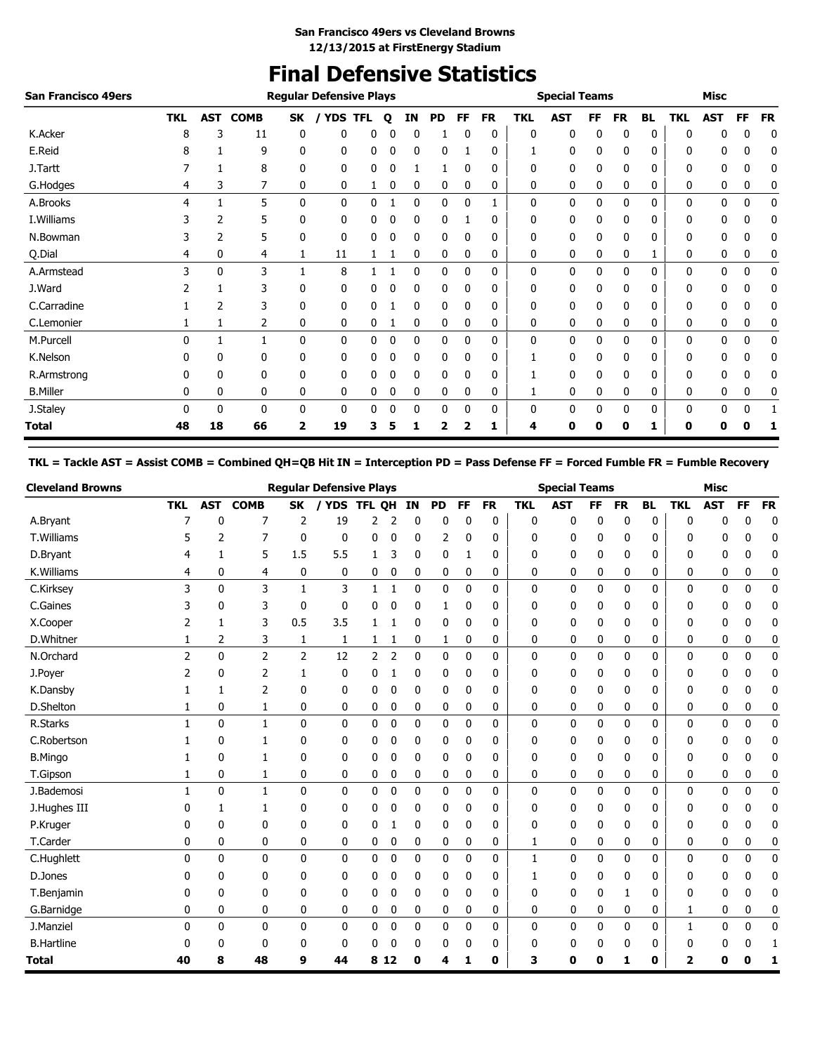## **Final Defensive Statistics**

| <b>San Francisco 49ers</b> |            |            |             |           | <b>Regular Defensive Plays</b> |            |   |              |           |              |           |            | <b>Special Teams</b> |    |           |           |            | <b>Misc</b> |           |           |
|----------------------------|------------|------------|-------------|-----------|--------------------------------|------------|---|--------------|-----------|--------------|-----------|------------|----------------------|----|-----------|-----------|------------|-------------|-----------|-----------|
|                            | <b>TKL</b> | <b>AST</b> | <b>COMB</b> | <b>SK</b> | <b>YDS</b>                     | <b>TFL</b> | Q | ΙN           | <b>PD</b> | FF           | <b>FR</b> | <b>TKL</b> | <b>AST</b>           | FF | <b>FR</b> | <b>BL</b> | <b>TKL</b> | <b>AST</b>  | <b>FF</b> | <b>FR</b> |
| K.Acker                    | 8          | 3          | 11          | 0         | 0                              | 0          |   | 0            |           |              | 0         | 0          | 0                    | 0  | 0         | 0         | 0          | 0           | 0         | 0         |
| E.Reid                     | 8          |            | 9           | 0         | 0                              | 0          |   | 0            | 0         |              | 0         |            | 0                    | 0  | 0         | 0         | 0          | 0           | 0         | 0         |
| J.Tartt                    |            |            | 8           | 0         | 0                              | 0          |   |              |           |              | 0         | 0          | 0                    | 0  | 0         | 0         | 0          | 0           | 0         | 0         |
| G.Hodges                   | 4          | 3          | 7           | 0         | 0                              |            | 0 | 0            | 0         | 0            | 0         | 0          | 0                    | 0  | 0         | 0         | 0          | 0           | 0         | 0         |
| A.Brooks                   | 4          |            | 5           | 0         | 0                              | 0          |   | 0            | 0         | $\mathbf{0}$ |           | 0          | 0                    | 0  | 0         | 0         | 0          | 0           | 0         | 0         |
| I. Williams                |            | 2          | 5           | 0         | 0                              | 0          |   | 0            | 0         |              | 0         | 0          | 0                    | 0  | 0         | 0         | 0          | 0           | 0         | 0         |
| N.Bowman                   |            | 2          | 5           | 0         | 0                              | 0          | 0 | 0            | 0         | 0            | 0         | 0          | 0                    | 0  | 0         | 0         | 0          | 0           | 0         | 0         |
| Q.Dial                     | 4          | 0          | 4           |           | 11                             |            |   | 0            | 0         | 0            | 0         | 0          | 0                    | 0  | 0         | 1         | 0          | 0           | 0         | 0         |
| A.Armstead                 | 3          | 0          | 3           |           | 8                              |            |   | 0            | 0         | 0            | 0         | 0          | 0                    | 0  | 0         | 0         | 0          | 0           | 0         | 0         |
| J.Ward                     |            |            | 3           | 0         | 0                              | 0          |   | 0            | 0         | $\Omega$     | 0         | 0          | 0                    | 0  | 0         | 0         | 0          | 0           | 0         | 0         |
| C.Carradine                |            | 2          | 3           | 0         | 0                              | 0          |   | 0            | 0         | 0            | 0         | 0          | 0                    | 0  | 0         | 0         | 0          | 0           | 0         | 0         |
| C.Lemonier                 |            |            | 2           | 0         | 0                              | 0          |   | 0            | 0         | 0            | 0         | 0          | 0                    | 0  | 0         | 0         | 0          | 0           | 0         | 0         |
| M.Purcell                  | 0          |            |             | 0         | 0                              | 0          | 0 | 0            | 0         | $\mathbf{0}$ | 0         | 0          | 0                    | 0  | 0         | 0         | 0          | 0           | 0         | 0         |
| K.Nelson                   |            | 0          | 0           | 0         | 0                              | 0          |   | 0            | 0         |              | 0         |            | 0                    | 0  | 0         | 0         | 0          | 0           | 0         | 0         |
| R.Armstrong                |            | 0          | $\Omega$    | 0         | 0                              | 0          |   | $\mathbf{0}$ | 0         | 0            | 0         |            | 0                    | 0  | 0         | 0         | 0          | 0           | 0         | 0         |
| <b>B.Miller</b>            | 0          | 0          | 0           | 0         | 0                              | 0          |   | 0            | 0         | 0            | 0         |            | 0                    | 0  | 0         | 0         | 0          | 0           | 0         | 0         |
| J.Staley                   | 0          | 0          | 0           | 0         | 0                              | 0          | 0 | 0            | 0         | 0            | 0         | 0          | 0                    | 0  | 0         | 0         | 0          | 0           | 0         |           |
| Total                      | 48         | 18         | 66          | 2         | 19                             | 3          |   |              | 2         |              | ı         | 4          | 0                    | o  | 0         |           | 0          | 0           |           |           |

**TKL = Tackle AST = Assist COMB = Combined QH=QB Hit IN = Interception PD = Pass Defense FF = Forced Fumble FR = Fumble Recovery**

| <b>Cleveland Browns</b> |                |              |                |                | <b>Regular Defensive Plays</b> |               |                |              |              |           |              |              | <b>Special Teams</b> |           |              |           |              | <b>Misc</b>  |              |             |
|-------------------------|----------------|--------------|----------------|----------------|--------------------------------|---------------|----------------|--------------|--------------|-----------|--------------|--------------|----------------------|-----------|--------------|-----------|--------------|--------------|--------------|-------------|
|                         | <b>TKL</b>     | <b>AST</b>   | <b>COMB</b>    | <b>SK</b>      | / YDS                          | <b>TFL OH</b> |                | IN           | <b>PD</b>    | <b>FF</b> | <b>FR</b>    | <b>TKL</b>   | <b>AST</b>           | <b>FF</b> | <b>FR</b>    | <b>BL</b> | <b>TKL</b>   | <b>AST</b>   | <b>FF</b>    | <b>FR</b>   |
| A.Bryant                | 7              | 0            | 7              | 2              | 19                             | 2             | 2              | 0            | 0            | 0         | 0            | 0            | 0                    | 0         | 0            | 0         | 0            | 0            | 0            | 0           |
| T.Williams              | 5              | 2            | 7              | $\mathbf 0$    | $\mathbf 0$                    | 0             | 0              | 0            | 2            | 0         | 0            | 0            | 0                    | 0         | 0            | 0         | 0            | 0            | 0            | 0           |
| D.Bryant                | 4              | 1            | 5              | 1.5            | 5.5                            | 1             | 3              | 0            | 0            |           | 0            | 0            | $\mathbf 0$          | 0         | 0            | 0         | 0            | 0            | 0            | 0           |
| K.Williams              | 4              | 0            | 4              | 0              | 0                              | 0             | 0              | 0            | 0            | 0         | 0            | 0            | 0                    | 0         | 0            | 0         | 0            | 0            | 0            | 0           |
| C.Kirksey               | 3              | $\mathbf{0}$ | 3              | $\mathbf{1}$   | 3                              | $\mathbf{1}$  | $\mathbf{1}$   | 0            | 0            | 0         | 0            | $\mathbf{0}$ | 0                    | 0         | 0            | 0         | 0            | $\mathbf{0}$ | 0            | 0           |
| C.Gaines                | 3              | 0            | 3              | $\mathbf 0$    | $\mathbf{0}$                   | 0             | 0              | 0            | 1            | 0         | 0            | 0            | 0                    | 0         | 0            | 0         | 0            | 0            | 0            | 0           |
| X.Cooper                | 2              | $\mathbf{1}$ | 3              | 0.5            | 3.5                            | 1             |                | 0            | 0            | 0         | 0            | 0            | $\mathbf 0$          | 0         | 0            | 0         | 0            | 0            | 0            | 0           |
| D.Whitner               | 1              | 2            | 3              | 1              | 1                              | 1             | 1              | 0            | 1            | 0         | 0            | 0            | 0                    | 0         | 0            | 0         | 0            | 0            | 0            | 0           |
| N.Orchard               | $\overline{2}$ | $\mathbf{0}$ | $\overline{2}$ | $\overline{2}$ | 12                             | 2             | $\overline{2}$ | 0            | 0            | 0         | 0            | 0            | $\mathbf 0$          | 0         | 0            | 0         | 0            | $\mathbf 0$  | 0            | 0           |
| J.Poyer                 | 2              | 0            | 2              | 1              | 0                              | 0             |                | 0            | 0            | 0         | 0            | 0            | 0                    | 0         | 0            | 0         | 0            | 0            | 0            | 0           |
| K.Dansby                | 1              | 1            | $\overline{2}$ | 0              | 0                              | 0             | 0              | 0            | 0            | 0         | 0            | 0            | 0                    | 0         | 0            | 0         | 0            | 0            | 0            | 0           |
| D.Shelton               | 1              | 0            | 1              | 0              | 0                              | 0             | 0              | 0            | 0            | 0         | 0            | 0            | 0                    | 0         | 0            | 0         | 0            | 0            | 0            | 0           |
| R.Starks                | $\mathbf{1}$   | $\mathbf{0}$ | $\mathbf{1}$   | $\mathbf{0}$   | 0                              | 0             | $\mathbf 0$    | $\mathbf{0}$ | 0            | 0         | 0            | 0            | $\mathbf 0$          | 0         | 0            | 0         | 0            | 0            | 0            | 0           |
| C.Robertson             |                | 0            | 1              | 0              | 0                              | 0             | 0              | 0            | 0            | 0         | 0            | 0            | 0                    | 0         | 0            | 0         | 0            | 0            | 0            | 0           |
| <b>B.Mingo</b>          |                | $\mathbf{0}$ | 1              | 0              | 0                              | 0             | 0              | 0            | 0            | 0         | 0            | 0            | $\mathbf 0$          | 0         | 0            | 0         | 0            | 0            | 0            | 0           |
| T.Gipson                | 1              | $\mathbf 0$  | 1              | 0              | 0                              | 0             | 0              | 0            | 0            | 0         | 0            | 0            | $\mathbf 0$          | 0         | 0            | 0         | 0            | 0            | 0            | 0           |
| J.Bademosi              | $\mathbf{1}$   | $\mathbf{0}$ | $\mathbf{1}$   | $\mathbf{0}$   | $\mathbf{0}$                   | $\mathbf{0}$  | $\mathbf 0$    | $\mathbf{0}$ | $\mathbf{0}$ | 0         | $\mathbf{0}$ | $\mathbf{0}$ | 0                    | 0         | $\mathbf{0}$ | 0         | 0            | $\mathbf{0}$ | $\mathbf{0}$ | 0           |
| J.Hughes III            | 0              | 1            | 1              | 0              | 0                              | 0             | 0              | 0            | 0            | 0         | 0            | 0            | 0                    | 0         | 0            | 0         | 0            | 0            | 0            | 0           |
| P.Kruger                | 0              | 0            | 0              | 0              | 0                              | 0             | 1              | 0            | 0            | 0         | 0            | 0            | 0                    | 0         | 0            | 0         | 0            | 0            | 0            | 0           |
| T.Carder                | 0              | 0            | 0              | 0              | 0                              | 0             | 0              | 0            | 0            | 0         | 0            | 1            | 0                    | 0         | 0            | 0         | 0            | 0            | 0            | 0           |
| C.Hughlett              | $\Omega$       | $\mathbf{0}$ | 0              | $\mathbf{0}$   | 0                              | 0             | $\mathbf 0$    | 0            | 0            | 0         | 0            | 1            | 0                    | 0         | 0            | 0         | 0            | 0            | 0            | 0           |
| D.Jones                 | 0              | 0            | 0              | 0              | 0                              | 0             | 0              | 0            | 0            | 0         | 0            | 1            | 0                    | 0         | 0            | 0         | 0            | 0            | 0            | 0           |
| T.Benjamin              | 0              | 0            | 0              | 0              | 0                              | 0             | 0              | 0            | 0            | 0         | 0            | 0            | 0                    | 0         | 1            | 0         | 0            | 0            | 0            | 0           |
| G.Barnidge              | 0              | 0            | 0              | 0              | 0                              | 0             | 0              | 0            | 0            | 0         | 0            | 0            | 0                    | 0         | 0            | 0         | 1            | 0            | 0            | 0           |
| J.Manziel               | $\Omega$       | $\mathbf{0}$ | $\mathbf{0}$   | $\mathbf{0}$   | $\mathbf{0}$                   | 0             | $\mathbf 0$    | $\mathbf{0}$ | $\mathbf{0}$ | 0         | $\mathbf{0}$ | $\mathbf{0}$ | $\mathbf 0$          | 0         | $\mathbf{0}$ | 0         | $\mathbf{1}$ | $\mathbf{0}$ | 0            | $\mathbf 0$ |
| <b>B.Hartline</b>       | 0              | 0            | 0              | $\mathbf{0}$   | 0                              | 0             | 0              | 0            | 0            | 0         | 0            | 0            | 0                    | 0         | 0            | 0         | 0            | 0            | 0            | 1           |
| <b>Total</b>            | 40             | 8            | 48             | 9              | 44                             |               | 8 1 2          | 0            | 4            | 1         | 0            | 3            | 0                    | 0         | 1            | 0         | 2            | 0            | 0            | 1           |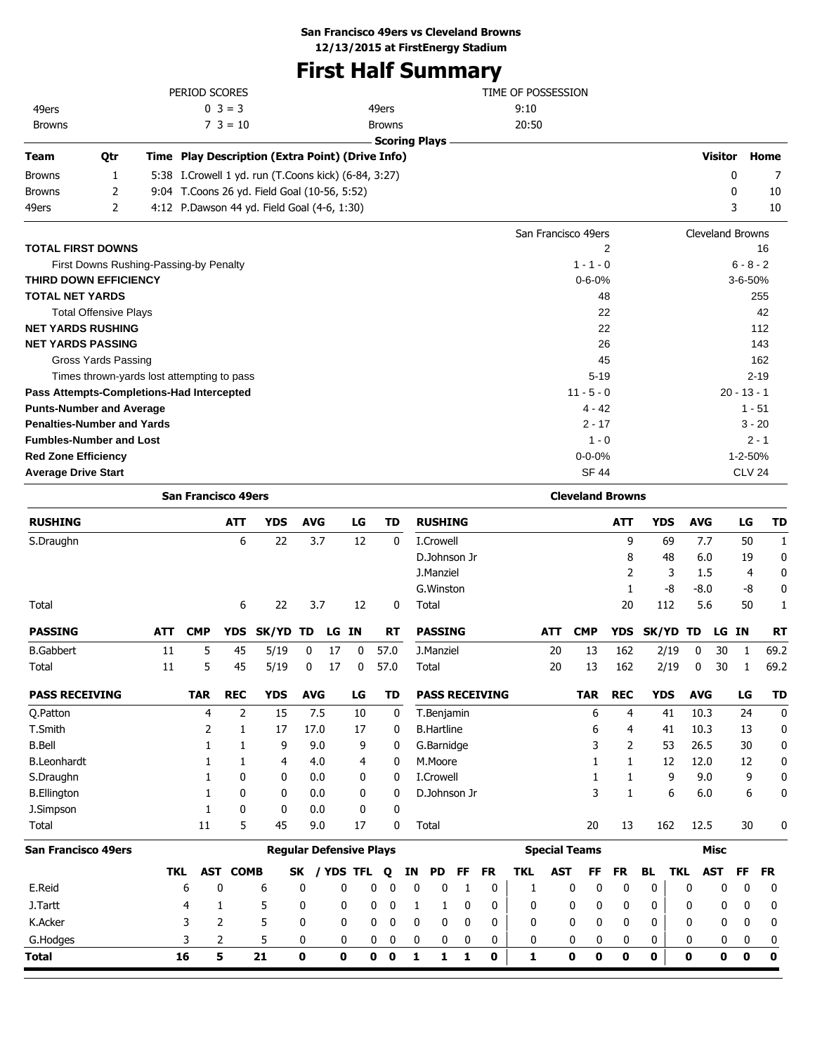## **San Francisco 49ers vs Cleveland Browns**

**12/13/2015 at FirstEnergy Stadium**

# **First Half Summary**

|                                            | PERIOD SCORES                                          |                      | TIME OF POSSESSION  |                  |               |
|--------------------------------------------|--------------------------------------------------------|----------------------|---------------------|------------------|---------------|
| 49ers                                      | $0 \ 3 = 3$                                            | 49ers                | 9:10                |                  |               |
| <b>Browns</b>                              | $7 \t3 = 10$                                           | <b>Browns</b>        | 20:50               |                  |               |
|                                            |                                                        | <b>Scoring Plays</b> |                     |                  |               |
| <b>Team</b><br>Otr                         | Time Play Description (Extra Point) (Drive Info)       |                      |                     | <b>Visitor</b>   | Home          |
| <b>Browns</b><br>1                         | 5:38 I. Crowell 1 yd. run (T. Coons kick) (6-84, 3:27) |                      |                     | 0                |               |
| <b>Browns</b><br>2                         | 9:04 T.Coons 26 yd. Field Goal (10-56, 5:52)           |                      |                     | 0                | 10            |
| 49ers<br>2                                 | 4:12 P.Dawson 44 yd. Field Goal (4-6, 1:30)            |                      |                     | 3                | 10            |
|                                            |                                                        |                      | San Francisco 49ers | Cleveland Browns |               |
| <b>TOTAL FIRST DOWNS</b>                   |                                                        |                      | 2                   |                  | 16            |
| First Downs Rushing-Passing-by Penalty     |                                                        |                      | $1 - 1 - 0$         |                  | $6 - 8 - 2$   |
| <b>THIRD DOWN EFFICIENCY</b>               |                                                        |                      | $0 - 6 - 0%$        |                  | $3 - 6 - 50%$ |
| <b>TOTAL NET YARDS</b>                     |                                                        |                      | 48                  |                  | 255           |
| <b>Total Offensive Plays</b>               |                                                        |                      | 22                  |                  | 42            |
| <b>NET YARDS RUSHING</b>                   |                                                        |                      | 22                  |                  | 112           |
| <b>NET YARDS PASSING</b>                   |                                                        |                      | 26                  |                  | 143           |
| Gross Yards Passing                        |                                                        |                      | 45                  |                  | 162           |
| Times thrown-yards lost attempting to pass |                                                        |                      | $5 - 19$            |                  | $2 - 19$      |
| Pass Attempts-Completions-Had Intercepted  |                                                        |                      | $11 - 5 - 0$        |                  | $20 - 13 - 1$ |
| <b>Punts-Number and Average</b>            |                                                        |                      | $4 - 42$            |                  | $1 - 51$      |
| <b>Penalties-Number and Yards</b>          |                                                        |                      | $2 - 17$            |                  | $3 - 20$      |
| <b>Fumbles-Number and Lost</b>             |                                                        |                      | $1 - 0$             |                  | $2 - 1$       |
| <b>Red Zone Efficiency</b>                 |                                                        |                      | $0 - 0 - 0%$        |                  | 1-2-50%       |
| <b>Average Drive Start</b>                 |                                                        |                      | <b>SF 44</b>        |                  | <b>CLV 24</b> |

|                            |            | <b>San Francisco 49ers</b> |                 |                                |              |     |              |   |             |              |                   |              |                       |              |                      | <b>Cleveland Browns</b> |              |              |                         |            |             |             |             |
|----------------------------|------------|----------------------------|-----------------|--------------------------------|--------------|-----|--------------|---|-------------|--------------|-------------------|--------------|-----------------------|--------------|----------------------|-------------------------|--------------|--------------|-------------------------|------------|-------------|-------------|-------------|
| <b>RUSHING</b>             |            |                            | <b>ATT</b>      | <b>YDS</b>                     | <b>AVG</b>   |     | LG           |   | <b>TD</b>   |              | <b>RUSHING</b>    |              |                       |              |                      |                         | <b>ATT</b>   |              | <b>YDS</b>              | <b>AVG</b> |             | LG          | <b>TD</b>   |
| S.Draughn                  |            |                            | 6               | 22                             |              | 3.7 | 12           |   | 0           |              | I.Crowell         |              |                       |              |                      |                         |              | 9            | 69                      | 7.7        |             | 50          | 1           |
|                            |            |                            |                 |                                |              |     |              |   |             |              | D.Johnson Jr      |              |                       |              |                      |                         |              | 8            | 48                      | 6.0        |             | 19          | 0           |
|                            |            |                            |                 |                                |              |     |              |   |             |              | J.Manziel         |              |                       |              |                      |                         |              | 2            | 3                       | 1.5        |             | 4           | $\mathbf 0$ |
|                            |            |                            |                 |                                |              |     |              |   |             |              | G. Winston        |              |                       |              |                      |                         |              | 1            | -8                      | $-8.0$     |             | -8          | 0           |
| Total                      |            |                            | 6               | 22                             |              | 3.7 | 12           |   | 0           |              | Total             |              |                       |              |                      |                         |              | 20           | 112                     | 5.6        |             | 50          | 1           |
| <b>PASSING</b>             | <b>ATT</b> | <b>CMP</b>                 | <b>YDS</b>      | SK/YD TD                       |              |     | LG IN        |   | <b>RT</b>   |              | <b>PASSING</b>    |              |                       |              | <b>ATT</b>           | <b>CMP</b>              | <b>YDS</b>   |              | <b>SK/YD</b>            | TD         | LG IN       |             | <b>RT</b>   |
| <b>B.Gabbert</b>           | 11         | 5                          | 45              | 5/19                           | 0            | 17  | 0            |   | 57.0        |              | J.Manziel         |              |                       |              | 20                   | 13                      | 162          |              | 2/19                    | 0          | 30          | 1           | 69.2        |
| Total                      | 11         | 5                          | 45              | 5/19                           | 0            | 17  | 0            |   | 57.0        |              | Total             |              |                       |              | 20                   | 13                      | 162          |              | 2/19                    | 0          | 30          | 1           | 69.2        |
| <b>PASS RECEIVING</b>      |            | <b>TAR</b>                 | <b>REC</b>      | <b>YDS</b>                     | <b>AVG</b>   |     | LG           |   | TD          |              |                   |              | <b>PASS RECEIVING</b> |              |                      | <b>TAR</b>              | <b>REC</b>   |              | <b>YDS</b>              | <b>AVG</b> |             | LG          | <b>TD</b>   |
| O.Patton                   |            | 4                          | $\overline{2}$  | 15                             |              | 7.5 | 10           |   | 0           |              | T.Benjamin        |              |                       |              |                      | 6                       |              | 4            | 41                      | 10.3       |             | 24          | $\mathbf 0$ |
| T.Smith                    |            | 2                          | 1               | 17                             | 17.0         |     | 17           |   | 0           |              | <b>B.Hartline</b> |              |                       |              |                      | 6                       |              | 4            | 41                      | 10.3       |             | 13          | $\mathbf 0$ |
| <b>B.Bell</b>              |            | 1                          | 1               | 9                              |              | 9.0 | 9            |   | 0           |              | G.Barnidge        |              |                       |              |                      | 3                       |              | 2            | 53                      | 26.5       |             | 30          | 0           |
| <b>B.Leonhardt</b>         |            | 1                          | 1               | 4                              |              | 4.0 | 4            |   | 0           |              | M.Moore           |              |                       |              |                      | 1                       |              | 1            | 12                      | 12.0       |             | 12          | 0           |
| S.Draughn                  |            |                            | 0               | 0                              |              | 0.0 | 0            |   | 0           |              | I.Crowell         |              |                       |              |                      |                         |              | 1            | 9                       | 9.0        |             | 9           | 0           |
| <b>B.Ellington</b>         |            | 1                          | 0               | 0                              |              | 0.0 | 0            |   | 0           |              | D.Johnson Jr      |              |                       |              |                      | 3                       |              | 1            | 6                       | 6.0        |             | 6           | 0           |
| J.Simpson                  |            | 1                          | $\mathbf{0}$    | 0                              |              | 0.0 | 0            |   | 0           |              |                   |              |                       |              |                      |                         |              |              |                         |            |             |             |             |
| Total                      |            | 11                         | 5               | 45                             |              | 9.0 | 17           |   | 0           |              | Total             |              |                       |              |                      | 20                      |              | 13           | 162                     | 12.5       |             | 30          | 0           |
| <b>San Francisco 49ers</b> |            |                            |                 | <b>Regular Defensive Plays</b> |              |     |              |   |             |              |                   |              |                       |              | <b>Special Teams</b> |                         |              |              |                         |            | <b>Misc</b> |             |             |
|                            | <b>TKL</b> |                            | <b>AST COMB</b> |                                | <b>SK</b>    |     | / YDS TFL    |   | Q           | ΙN           | <b>PD</b>         | FF           | <b>FR</b>             | <b>TKL</b>   | <b>AST</b>           | FF                      | <b>FR</b>    |              | <b>BL</b><br><b>TKL</b> |            | <b>AST</b>  | <b>FF</b>   | <b>FR</b>   |
| E.Reid                     |            | 6                          | 0               | 6                              | 0            |     | 0            | 0 | $\mathbf 0$ | 0            | 0                 | 1            | 0                     | 1            |                      | 0                       | 0<br>0       |              | 0                       | 0          | 0           | 0           | 0           |
| J.Tartt                    |            | 4                          | 1               | 5                              | 0            |     | 0            | 0 | $\mathbf 0$ | 1            | 1                 | 0            | 0                     | 0            |                      | 0                       | 0            | 0            | 0                       | 0          | 0           | 0           | 0           |
| K.Acker                    |            | 3                          | 2               | 5                              | $\mathbf{0}$ |     | $\mathbf{0}$ | 0 | $\mathbf 0$ | $\mathbf{0}$ | 0                 | $\mathbf{0}$ | 0                     | 0            |                      | 0                       | $\mathbf{0}$ | $\mathbf{0}$ | $\mathbf{0}$            | 0          | 0           | 0           | 0           |
| G.Hodges                   |            | 3                          | 2               | 5                              | 0            |     | 0            | 0 | 0           | 0            | 0                 | 0            | 0                     | 0            |                      | 0                       | 0            | 0            | 0                       | 0          | 0           | 0           | 0           |
| <b>Total</b>               |            | 16                         | 5               | 21                             | $\bf{0}$     |     | $\bf{0}$     | 0 | $\mathbf 0$ | $\mathbf{1}$ | 1                 | 1            | $\bf{0}$              | $\mathbf{1}$ |                      | $\mathbf 0$             | O<br>0       |              | $\bf{0}$                | $\bf{0}$   | $\mathbf 0$ | $\mathbf 0$ | $\mathbf 0$ |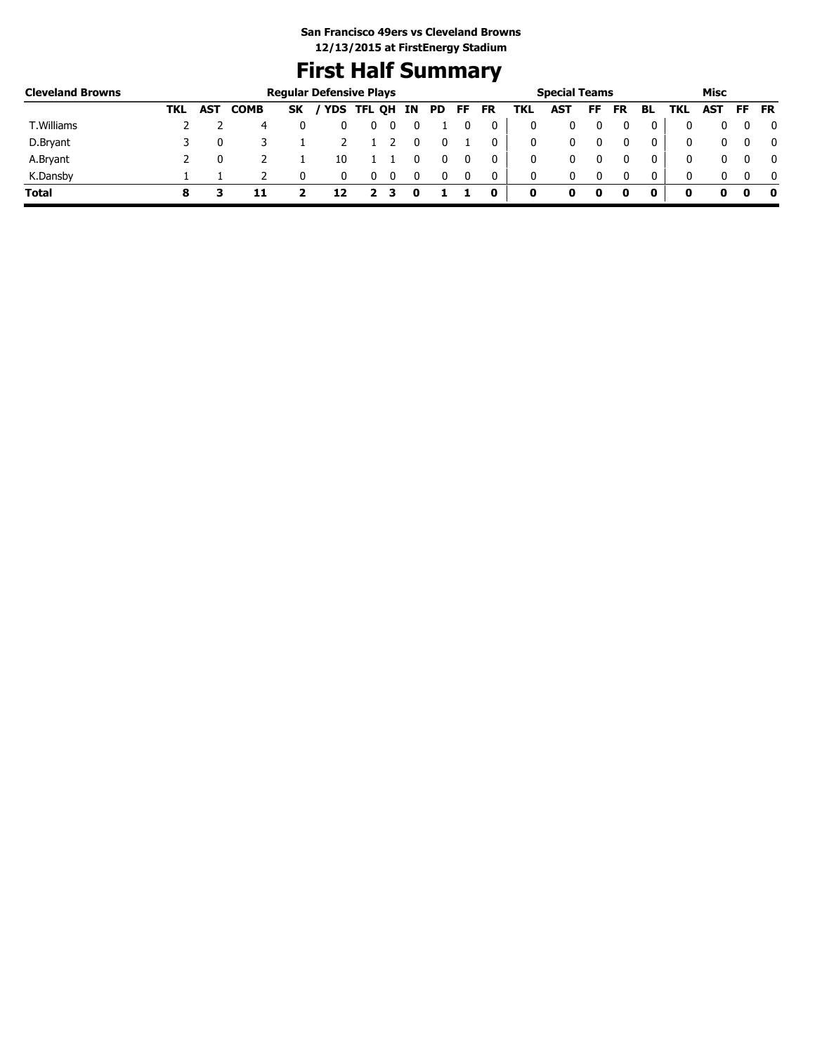## **First Half Summary**

| <b>Cleveland Browns</b> |     |            |             |           | <b>Regular Defensive Plays</b> |            |    |    |    |    |     | <b>Special Teams</b> |    |           |    |     | Misc       |     |           |
|-------------------------|-----|------------|-------------|-----------|--------------------------------|------------|----|----|----|----|-----|----------------------|----|-----------|----|-----|------------|-----|-----------|
|                         | TKL | <b>AST</b> | <b>COMB</b> | <b>SK</b> |                                | YDS TFL QH | IN | PD | FF | FR | TKL | AST                  | FF | <b>FR</b> | BL | TKL | <b>AST</b> | FF. | <b>FR</b> |
| T. Williams             |     |            | 4           |           |                                | U          |    |    |    | 0  | 0   |                      |    |           | 0  |     |            |     | 0         |
| D.Bryant                |     |            |             |           |                                |            |    |    |    | 0  | 0   |                      |    |           | 0  |     |            |     | 0         |
| A.Bryant                |     |            |             |           | 10                             |            |    |    |    | 0  | 0   |                      |    |           | 0  |     |            |     | 0         |
| K.Dansby                |     |            |             |           |                                |            |    |    |    | 0  | 0   |                      |    |           | 0  |     |            |     | - 0       |
| <b>Total</b>            |     |            |             |           |                                |            |    |    |    | 0  | 0   | o                    | 0  |           |    | o   |            |     | 0         |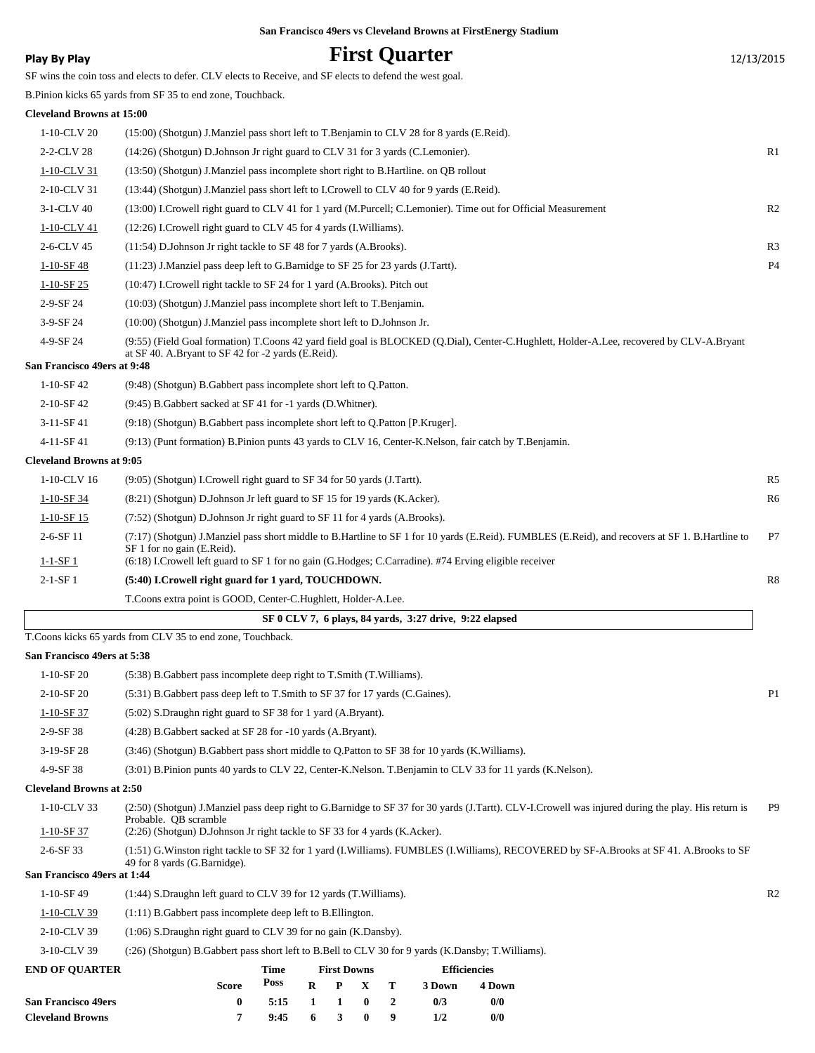| <b>Play By Play</b>              | <b>First Quarter</b>                                                                                                                                                                           | 12/13/2015     |
|----------------------------------|------------------------------------------------------------------------------------------------------------------------------------------------------------------------------------------------|----------------|
|                                  | SF wins the coin toss and elects to defer. CLV elects to Receive, and SF elects to defend the west goal.                                                                                       |                |
|                                  | B. Pinion kicks 65 yards from SF 35 to end zone, Touchback.                                                                                                                                    |                |
| <b>Cleveland Browns at 15:00</b> |                                                                                                                                                                                                |                |
| 1-10-CLV 20                      | (15:00) (Shotgun) J.Manziel pass short left to T.Benjamin to CLV 28 for 8 yards (E.Reid).                                                                                                      |                |
| 2-2-CLV 28                       | (14:26) (Shotgun) D.Johnson Jr right guard to CLV 31 for 3 yards (C.Lemonier).                                                                                                                 | R1             |
| 1-10-CLV 31                      | (13:50) (Shotgun) J.Manziel pass incomplete short right to B.Hartline. on QB rollout                                                                                                           |                |
| 2-10-CLV 31                      | (13:44) (Shotgun) J.Manziel pass short left to I.Crowell to CLV 40 for 9 yards (E.Reid).                                                                                                       |                |
| 3-1-CLV 40                       | (13:00) I.Crowell right guard to CLV 41 for 1 yard (M.Purcell; C.Lemonier). Time out for Official Measurement                                                                                  | R <sub>2</sub> |
| <u>1-10-CLV 41</u>               | (12:26) I.Crowell right guard to CLV 45 for 4 yards (I.Williams).                                                                                                                              |                |
| 2-6-CLV 45                       | $(11:54)$ D.Johnson Jr right tackle to SF 48 for 7 yards (A.Brooks).                                                                                                                           | R <sub>3</sub> |
| $1-10-SF$ 48                     | $(11:23)$ J.Manziel pass deep left to G.Barnidge to SF 25 for 23 yards (J.Tartt).                                                                                                              | <b>P4</b>      |
| $1 - 10 - SF$ 25                 | (10:47) I.Crowell right tackle to SF 24 for 1 yard (A.Brooks). Pitch out                                                                                                                       |                |
| 2-9-SF 24                        | (10:03) (Shotgun) J.Manziel pass incomplete short left to T.Benjamin.                                                                                                                          |                |
| 3-9-SF 24                        | (10:00) (Shotgun) J.Manziel pass incomplete short left to D.Johnson Jr.                                                                                                                        |                |
| 4-9-SF 24                        | (9:55) (Field Goal formation) T.Coons 42 yard field goal is BLOCKED (Q.Dial), Center-C.Hughlett, Holder-A.Lee, recovered by CLV-A.Bryant<br>at SF 40. A.Bryant to SF 42 for -2 yards (E.Reid). |                |
| San Francisco 49ers at 9:48      |                                                                                                                                                                                                |                |
| $1-10-SF42$                      | (9:48) (Shotgun) B.Gabbert pass incomplete short left to Q.Patton.                                                                                                                             |                |
| 2-10-SF42                        | (9:45) B. Gabbert sacked at SF 41 for -1 yards (D. Whitner).                                                                                                                                   |                |
| 3-11-SF 41                       | (9:18) (Shotgun) B. Gabbert pass incomplete short left to Q. Patton [P. Kruger].                                                                                                               |                |
| 4-11-SF 41                       | (9:13) (Punt formation) B.Pinion punts 43 yards to CLV 16, Center-K.Nelson, fair catch by T.Benjamin.                                                                                          |                |
| <b>Cleveland Browns at 9:05</b>  |                                                                                                                                                                                                |                |
| 1-10-CLV 16                      | $(9:05)$ (Shotgun) I.Crowell right guard to SF 34 for 50 yards (J.Tartt).                                                                                                                      | R5             |
| $1-10-SF$ 34                     | (8:21) (Shotgun) D.Johnson Jr left guard to SF 15 for 19 yards (K.Acker).                                                                                                                      | R6             |
| $1-10-SF15$                      | (7:52) (Shotgun) D.Johnson Jr right guard to SF 11 for 4 yards (A.Brooks).                                                                                                                     |                |
| 2-6-SF 11                        | (7:17) (Shotgun) J.Manziel pass short middle to B.Hartline to SF 1 for 10 yards (E.Reid). FUMBLES (E.Reid), and recovers at SF 1. B.Hartline to<br>SF 1 for no gain (E.Reid).                  | P7             |
| $1 - 1 - SF$ 1                   | (6:18) I.Crowell left guard to SF 1 for no gain (G.Hodges; C.Carradine). #74 Erving eligible receiver                                                                                          |                |
| $2-1-SF1$                        | (5:40) I.Crowell right guard for 1 yard, TOUCHDOWN.                                                                                                                                            | R8             |
|                                  | T.Coons extra point is GOOD, Center-C.Hughlett, Holder-A.Lee.                                                                                                                                  |                |
|                                  | SF 0 CLV 7, 6 plays, 84 yards, 3:27 drive, 9:22 elapsed<br>T.Coons kicks 65 yards from CLV 35 to end zone, Touchback.                                                                          |                |
| San Francisco 49ers at 5:38      |                                                                                                                                                                                                |                |
| $1-10-SF20$                      | (5:38) B. Gabbert pass incomplete deep right to T. Smith (T. Williams).                                                                                                                        |                |
| 2-10-SF 20                       | (5:31) B. Gabbert pass deep left to T. Smith to SF 37 for 17 yards (C. Gaines).                                                                                                                | P <sub>1</sub> |
| $1-10-SF$ 37                     | (5:02) S.Draughn right guard to SF 38 for 1 yard (A.Bryant).                                                                                                                                   |                |
| 2-9-SF 38                        | (4:28) B. Gabbert sacked at SF 28 for -10 yards (A. Bryant).                                                                                                                                   |                |
| 3-19-SF 28                       | (3:46) (Shotgun) B. Gabbert pass short middle to Q. Patton to SF 38 for 10 yards (K. Williams).                                                                                                |                |
| 4-9-SF 38                        | (3:01) B.Pinion punts 40 yards to CLV 22, Center-K.Nelson. T.Benjamin to CLV 33 for 11 yards (K.Nelson).                                                                                       |                |
| <b>Cleveland Browns at 2:50</b>  |                                                                                                                                                                                                |                |
| 1-10-CLV 33                      | (2:50) (Shotgun) J.Manziel pass deep right to G.Barnidge to SF 37 for 30 yards (J.Tartt). CLV-I.Crowell was injured during the play. His return is                                             | P9             |
| $1-10-SF$ 37                     | Probable. QB scramble<br>(2:26) (Shotgun) D.Johnson Jr right tackle to SF 33 for 4 yards (K.Acker).                                                                                            |                |
| 2-6-SF 33                        | (1:51) G. Winston right tackle to SF 32 for 1 yard (I. Williams). FUMBLES (I. Williams), RECOVERED by SF-A. Brooks at SF 41. A. Brooks to SF<br>49 for 8 yards (G.Barnidge).                   |                |
| San Francisco 49ers at 1:44      |                                                                                                                                                                                                |                |
| 1-10-SF 49                       | (1:44) S.Draughn left guard to CLV 39 for 12 yards (T.Williams).                                                                                                                               | R2             |
| 1-10-CLV 39                      | $(1:11)$ B. Gabbert pass incomplete deep left to B. Ellington.                                                                                                                                 |                |
| 2-10-CLV 39                      | (1:06) S.Draughn right guard to CLV 39 for no gain (K.Dansby).                                                                                                                                 |                |
| 3-10-CLV 39                      | (:26) (Shotgun) B.Gabbert pass short left to B.Bell to CLV 30 for 9 yards (K.Dansby; T.Williams).                                                                                              |                |
| <b>END OF QUARTER</b>            | <b>First Downs</b><br><b>Efficiencies</b><br>Time<br>Poss                                                                                                                                      |                |
| <b>San Francisco 49ers</b>       | R<br>T<br><b>Score</b><br>P<br>X<br>3 Down<br>4 Down<br>$\bf{0}$<br>$\bf{0}$<br>0/0<br>5:15<br>1<br>1<br>$\boldsymbol{2}$<br>0/3                                                               |                |

**Cleveland Browns 7 9:45 6 3 0 9 1/2 0/0**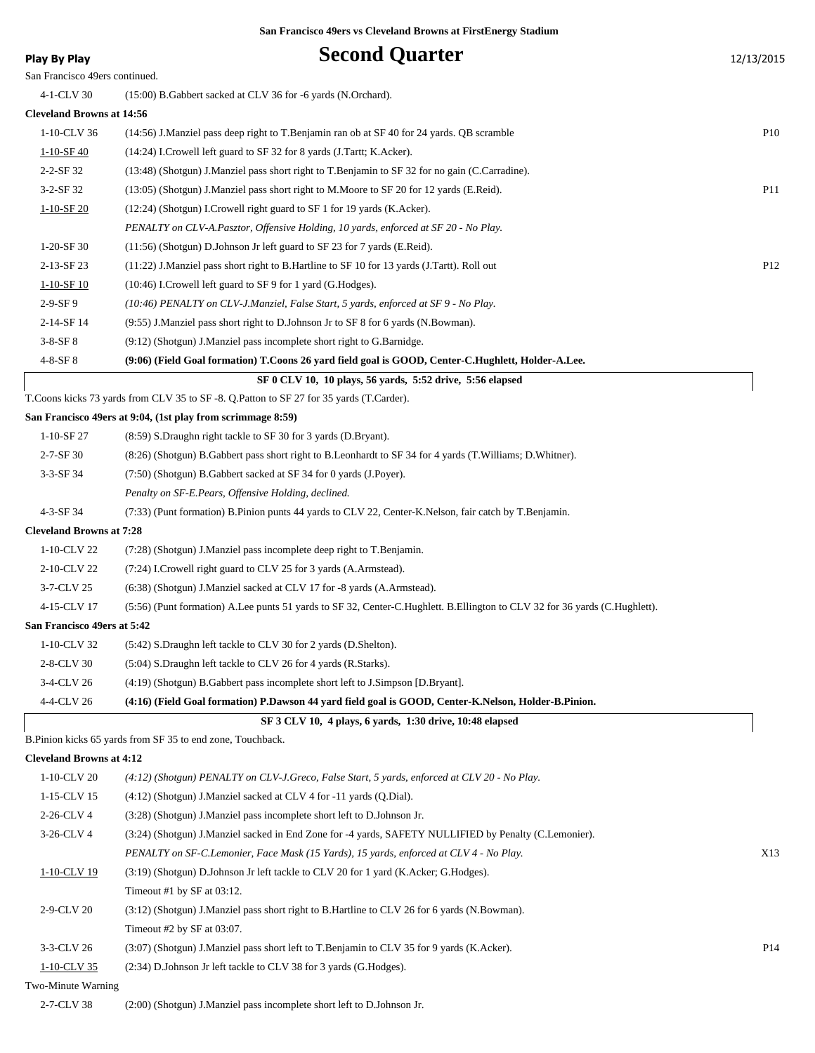## **Play By Play Second Quarter** 12/13/2015

| .                                |                                                                                                | -- <i>----</i> --- |
|----------------------------------|------------------------------------------------------------------------------------------------|--------------------|
| San Francisco 49ers continued.   |                                                                                                |                    |
| 4-1-CLV 30                       | (15:00) B. Gabbert sacked at CLV 36 for -6 yards (N. Orchard).                                 |                    |
| <b>Cleveland Browns at 14:56</b> |                                                                                                |                    |
| $1-10$ -CLV 36                   | $(14:56)$ J.Manziel pass deep right to T.Benjamin ran ob at SF 40 for 24 yards. OB scramble    | <b>P10</b>         |
| 1-10-SF 40                       | (14:24) I.Crowell left guard to SF 32 for 8 yards (J.Tartt; K.Acker).                          |                    |
| $2 - 2 - SF$ 32                  | (13:48) (Shotgun) J.Manziel pass short right to T.Benjamin to SF 32 for no gain (C.Carradine). |                    |
| $3-2-SF32$                       | (13:05) (Shotgun) J.Manziel pass short right to M.Moore to SF 20 for 12 yards (E.Reid).        | <b>P11</b>         |
| $1-10-SF20$                      | $(12:24)$ (Shotgun) I.Crowell right guard to SF 1 for 19 yards (K.Acker).                      |                    |
|                                  | PENALTY on CLV-A.Pasztor, Offensive Holding, 10 yards, enforced at SF 20 - No Play.            |                    |
| 1-20-SF 30                       | $(11:56)$ (Shotgun) D.Johnson Jr left guard to SF 23 for 7 yards (E.Reid).                     |                    |

2-13-SF 23 (11:22) J.Manziel pass short right to B.Hartline to SF 10 for 13 yards (J.Tartt). Roll out P12 1-10-SF 10 (10:46) I.Crowell left guard to SF 9 for 1 yard (G.Hodges).

2-9-SF 9 *(10:46) PENALTY on CLV-J.Manziel, False Start, 5 yards, enforced at SF 9 - No Play.*

2-14-SF 14 (9:55) J.Manziel pass short right to D.Johnson Jr to SF 8 for 6 yards (N.Bowman).

3-8-SF 8 (9:12) (Shotgun) J.Manziel pass incomplete short right to G.Barnidge.

#### 4-8-SF 8 **(9:06) (Field Goal formation) T.Coons 26 yard field goal is GOOD, Center-C.Hughlett, Holder-A.Lee.**

 **SF 0 CLV 10, 10 plays, 56 yards, 5:52 drive, 5:56 elapsed**

T.Coons kicks 73 yards from CLV 35 to SF -8. Q.Patton to SF 27 for 35 yards (T.Carder).

#### **San Francisco 49ers at 9:04, (1st play from scrimmage 8:59)**

| $1-10-SF27$                     | (8:59) S.Draughn right tackle to SF 30 for 3 yards (D.Bryant).                                                             |
|---------------------------------|----------------------------------------------------------------------------------------------------------------------------|
| $2 - 7 - SF$ 30                 | (8:26) (Shotgun) B. Gabbert pass short right to B. Leonhardt to SF 34 for 4 yards (T. Williams; D. Whitner).               |
| $3-3-SF$ 34                     | (7:50) (Shotgun) B. Gabbert sacked at SF 34 for 0 yards (J. Poyer).                                                        |
|                                 | Penalty on SF-E.Pears, Offensive Holding, declined.                                                                        |
| $4 - 3 - SF$ 34                 | (7:33) (Punt formation) B.Pinion punts 44 yards to CLV 22, Center-K.Nelson, fair catch by T.Benjamin.                      |
| <b>Cleveland Browns at 7:28</b> |                                                                                                                            |
| 1-10-CLV 22                     | (7:28) (Shotgun) J.Manziel pass incomplete deep right to T.Benjamin.                                                       |
| 2-10-CLV 22                     | (7:24) I.Crowell right guard to CLV 25 for 3 yards (A.Armstead).                                                           |
| 3-7-CLV 25                      | (6:38) (Shotgun) J.Manziel sacked at CLV 17 for -8 yards (A.Armstead).                                                     |
| 4-15-CLV 17                     | (5:56) (Punt formation) A.Lee punts 51 yards to SF 32, Center-C.Hughlett. B.Ellington to CLV 32 for 36 yards (C.Hughlett). |
| San Francisco 49ers at 5:42     |                                                                                                                            |
| 1-10-CLV 32                     | (5:42) S.Draughn left tackle to CLV 30 for 2 yards (D.Shelton).                                                            |
| 2-8-CLV 30                      | (5:04) S.Draughn left tackle to CLV 26 for 4 yards (R.Starks).                                                             |
| 3-4-CLV 26                      | (4:19) (Shotgun) B. Gabbert pass incomplete short left to J. Simpson [D. Bryant].                                          |
| 4-4-CLV 26                      | (4:16) (Field Goal formation) P.Dawson 44 yard field goal is GOOD, Center-K.Nelson, Holder-B.Pinion.                       |
|                                 |                                                                                                                            |

B.Pinion kicks 65 yards from SF 35 to end zone, Touchback.

#### **Cleveland Browns at 4:12**

| $1-10$ -CLV 20     | $(4.12)$ (Shotgun) PENALTY on CLV-J.Greco, False Start, 5 yards, enforced at CLV 20 - No Play.        |     |
|--------------------|-------------------------------------------------------------------------------------------------------|-----|
| 1-15-CLV 15        | $(4:12)$ (Shotgun) J.Manziel sacked at CLV 4 for $-11$ yards (Q.Dial).                                |     |
| 2-26-CLV 4         | (3:28) (Shotgun) J.Manziel pass incomplete short left to D.Johnson Jr.                                |     |
| $3-26$ -CLV 4      | (3:24) (Shotgun) J.Manziel sacked in End Zone for -4 yards, SAFETY NULLIFIED by Penalty (C.Lemonier). |     |
|                    | PENALTY on SF-C.Lemonier, Face Mask (15 Yards), 15 yards, enforced at CLV 4 - No Play.                | X13 |
| 1-10-CLV 19        | (3:19) (Shotgun) D.Johnson Jr left tackle to CLV 20 for 1 yard (K.Acker; G.Hodges).                   |     |
|                    | Timeout #1 by $SF$ at 03:12.                                                                          |     |
| 2-9-CLV 20         | (3.12) (Shotgun) J.Manziel pass short right to B.Hartline to CLV 26 for 6 yards (N.Bowman).           |     |
|                    | Timeout #2 by SF at $03:07$ .                                                                         |     |
| 3-3-CLV 26         | (3:07) (Shotgun) J.Manziel pass short left to T.Benjamin to CLV 35 for 9 yards (K.Acker).             | P14 |
| $1-10$ -CLV 35     | (2:34) D. Johnson Jr left tackle to CLV 38 for 3 yards (G. Hodges).                                   |     |
| Two-Minute Warning |                                                                                                       |     |

 **SF 3 CLV 10, 4 plays, 6 yards, 1:30 drive, 10:48 elapsed**

2-7-CLV 38 (2:00) (Shotgun) J.Manziel pass incomplete short left to D.Johnson Jr.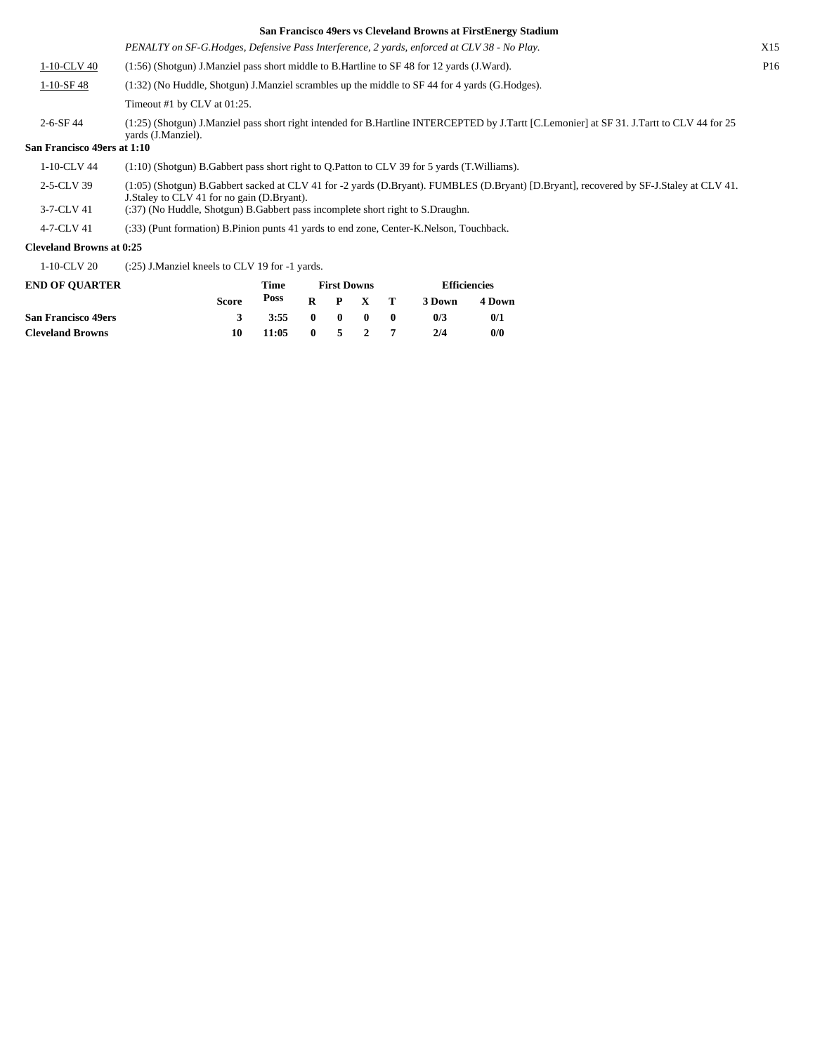|                             | ban Francisco 47crs vs Cicveland Drowns at FirstEnergy buddhui                                                                                                   |                 |
|-----------------------------|------------------------------------------------------------------------------------------------------------------------------------------------------------------|-----------------|
|                             | PENALTY on SF-G.Hodges, Defensive Pass Interference, 2 yards, enforced at CLV 38 - No Play.                                                                      | X15             |
| 1-10-CLV 40                 | (1.56) (Shotgun) J.Manziel pass short middle to B.Hartline to SF 48 for 12 yards (J.Ward).                                                                       | P <sub>16</sub> |
| $1-10-$ SF 48               | $(1:32)$ (No Huddle, Shotgun) J. Manziel scrambles up the middle to SF 44 for 4 yards (G. Hodges).                                                               |                 |
|                             | Timeout #1 by CLV at $01:25$ .                                                                                                                                   |                 |
| $2 - 6 - SF$ 44             | (1:25) (Shotgun) J.Manziel pass short right intended for B.Hartline INTERCEPTED by J.Tartt [C.Lemonier] at SF 31. J.Tartt to CLV 44 for 25<br>vards (J.Manziel). |                 |
| San Francisco 49ers at 1:10 |                                                                                                                                                                  |                 |
| 1-10-CLV 44                 | $(1:10)$ (Shotgun) B. Gabbert pass short right to O. Patton to CLV 39 for 5 yards (T. Williams).                                                                 |                 |
|                             |                                                                                                                                                                  |                 |

(1:05) (Shotgun) B.Gabbert sacked at CLV 41 for -2 yards (D.Bryant). FUMBLES (D.Bryant) [D.Bryant], recovered by SF-J.Staley at CLV 41. 2-5-CLV 39

J.Staley to CLV 41 for no gain (D.Bryant).

3-7-CLV 41 (:37) (No Huddle, Shotgun) B.Gabbert pass incomplete short right to S.Draughn.

4-7-CLV 41 (:33) (Punt formation) B.Pinion punts 41 yards to end zone, Center-K.Nelson, Touchback.

## **Cleveland Browns at 0:25**

1-10-CLV 20 (:25) J.Manziel kneels to CLV 19 for -1 yards.

| <b>END OF OUARTER</b>      |       | Time  | <b>First Downs</b> |                           |                 |  | <b>Efficiencies</b> |        |
|----------------------------|-------|-------|--------------------|---------------------------|-----------------|--|---------------------|--------|
|                            | Score | Poss  |                    |                           | $R$ $P$ $X$ $T$ |  | 3 Down              | 4 Down |
| <b>San Francisco 49ers</b> |       | 3:55  |                    | $\mathbf{0}$ $\mathbf{0}$ | $\blacksquare$  |  | 0/3                 | 0/1    |
| <b>Cleveland Browns</b>    | 10    | 11:05 | $\mathbf{0}$       |                           | $5\quad 2$      |  | 2/4                 | 0/0    |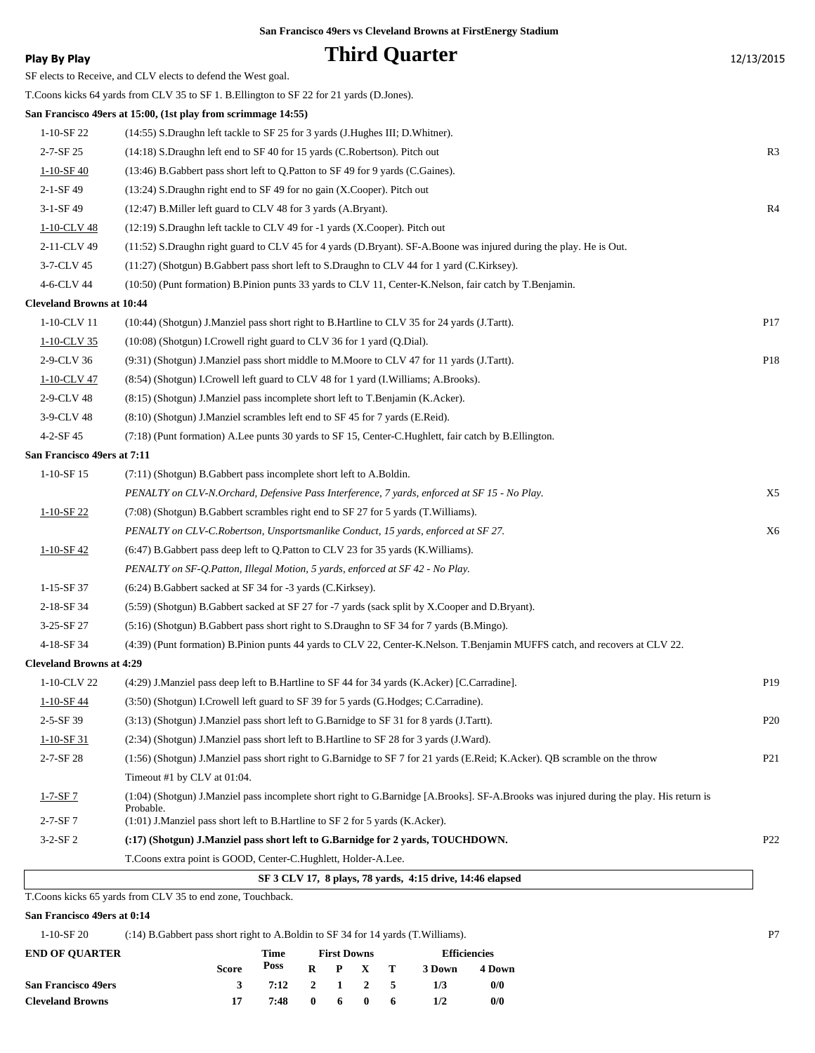**Play By Play Play Play Play By Play Third Quarter** 12/13/2015 SF elects to Receive, and CLV elects to defend the West goal. T.Coons kicks 64 yards from CLV 35 to SF 1. B.Ellington to SF 22 for 21 yards (D.Jones). **San Francisco 49ers at 15:00, (1st play from scrimmage 14:55)** 1-10-SF 22 (14:55) S.Draughn left tackle to SF 25 for 3 yards (J.Hughes III; D.Whitner). 2-7-SF 25 (14:18) S.Draughn left end to SF 40 for 15 yards (C.Robertson). Pitch out R3 1-10-SF 40 (13:46) B.Gabbert pass short left to Q.Patton to SF 49 for 9 yards (C.Gaines). 2-1-SF 49 (13:24) S.Draughn right end to SF 49 for no gain (X.Cooper). Pitch out 3-1-SF 49 (12:47) B.Miller left guard to CLV 48 for 3 yards (A.Bryant). R4 1-10-CLV 48 (12:19) S.Draughn left tackle to CLV 49 for -1 yards (X.Cooper). Pitch out 2-11-CLV 49 (11:52) S.Draughn right guard to CLV 45 for 4 yards (D.Bryant). SF-A.Boone was injured during the play. He is Out. 3-7-CLV 45 (11:27) (Shotgun) B.Gabbert pass short left to S.Draughn to CLV 44 for 1 yard (C.Kirksey). 4-6-CLV 44 (10:50) (Punt formation) B.Pinion punts 33 yards to CLV 11, Center-K.Nelson, fair catch by T.Benjamin. **Cleveland Browns at 10:44** 1-10-CLV 11 (10:44) (Shotgun) J.Manziel pass short right to B.Hartline to CLV 35 for 24 yards (J.Tartt). P17 1-10-CLV 35 (10:08) (Shotgun) I.Crowell right guard to CLV 36 for 1 yard (Q.Dial). 2-9-CLV 36 (9:31) (Shotgun) J.Manziel pass short middle to M.Moore to CLV 47 for 11 yards (J.Tartt). P18 1-10-CLV 47 (8:54) (Shotgun) I.Crowell left guard to CLV 48 for 1 yard (I.Williams; A.Brooks). 2-9-CLV 48 (8:15) (Shotgun) J.Manziel pass incomplete short left to T.Benjamin (K.Acker). 3-9-CLV 48 (8:10) (Shotgun) J.Manziel scrambles left end to SF 45 for 7 yards (E.Reid). 4-2-SF 45 (7:18) (Punt formation) A.Lee punts 30 yards to SF 15, Center-C.Hughlett, fair catch by B.Ellington. **San Francisco 49ers at 7:11** 1-10-SF 15 (7:11) (Shotgun) B.Gabbert pass incomplete short left to A.Boldin. *PENALTY on CLV-N.Orchard, Defensive Pass Interference, 7 yards, enforced at SF 15 - No Play.* X5 1-10-SF 22 (7:08) (Shotgun) B.Gabbert scrambles right end to SF 27 for 5 yards (T.Williams). *PENALTY on CLV-C.Robertson, Unsportsmanlike Conduct, 15 yards, enforced at SF 27.* X6 1-10-SF 42 (6:47) B.Gabbert pass deep left to Q.Patton to CLV 23 for 35 yards (K.Williams). *PENALTY on SF-Q.Patton, Illegal Motion, 5 yards, enforced at SF 42 - No Play.* 1-15-SF 37 (6:24) B.Gabbert sacked at SF 34 for -3 yards (C.Kirksey). 2-18-SF 34 (5:59) (Shotgun) B.Gabbert sacked at SF 27 for -7 yards (sack split by X.Cooper and D.Bryant). 3-25-SF 27 (5:16) (Shotgun) B.Gabbert pass short right to S.Draughn to SF 34 for 7 yards (B.Mingo). 4-18-SF 34 (4:39) (Punt formation) B.Pinion punts 44 yards to CLV 22, Center-K.Nelson. T.Benjamin MUFFS catch, and recovers at CLV 22. **Cleveland Browns at 4:29** 1-10-CLV 22 (4:29) J.Manziel pass deep left to B.Hartline to SF 44 for 34 yards (K.Acker) [C.Carradine]. P19 1-10-SF 44 (3:50) (Shotgun) I.Crowell left guard to SF 39 for 5 yards (G.Hodges; C.Carradine). 2-5-SF 39 (3:13) (Shotgun) J.Manziel pass short left to G.Barnidge to SF 31 for 8 yards (J.Tartt). P20 1-10-SF 31 (2:34) (Shotgun) J.Manziel pass short left to B.Hartline to SF 28 for 3 yards (J.Ward). 2-7-SF 28 (1:56) (Shotgun) J.Manziel pass short right to G.Barnidge to SF 7 for 21 yards (E.Reid; K.Acker). QB scramble on the throw P21 Timeout #1 by CLV at 01:04. (1:04) (Shotgun) J.Manziel pass incomplete short right to G.Barnidge [A.Brooks]. SF-A.Brooks was injured during the play. His return is Probable. 1-7-SF 7 2-7-SF 7 (1:01) J.Manziel pass short left to B.Hartline to SF 2 for 5 yards (K.Acker). 3-2-SF 2 **(:17) (Shotgun) J.Manziel pass short left to G.Barnidge for 2 yards, TOUCHDOWN.** P22 T.Coons extra point is GOOD, Center-C.Hughlett, Holder-A.Lee.  **SF 3 CLV 17, 8 plays, 78 yards, 4:15 drive, 14:46 elapsed**

T.Coons kicks 65 yards from CLV 35 to end zone, Touchback.

#### **San Francisco 49ers at 0:14**

| $1 - 10 - SF$ 20 | $(14)$ B. Gabbert pass short right to A. Boldin to SF 34 for 14 vards $(T.Williams)$ . |  |
|------------------|----------------------------------------------------------------------------------------|--|
|                  |                                                                                        |  |

| <b>END OF OUARTER</b>      |              | Time         |              |    | <b>First Downs</b> |    | <b>Efficiencies</b> |        |
|----------------------------|--------------|--------------|--------------|----|--------------------|----|---------------------|--------|
|                            | <b>Score</b> | Poss         |              |    | $R$ $P$ $X$ $T$    |    | 3 Down              | 4 Down |
| <b>San Francisco 49ers</b> |              | 7:12 2 1 2 5 |              |    |                    |    | 1/3                 | 0/0    |
| <b>Cleveland Browns</b>    |              | 7:48         | $\mathbf{0}$ | 60 |                    | -6 | 1/2                 | 0/0    |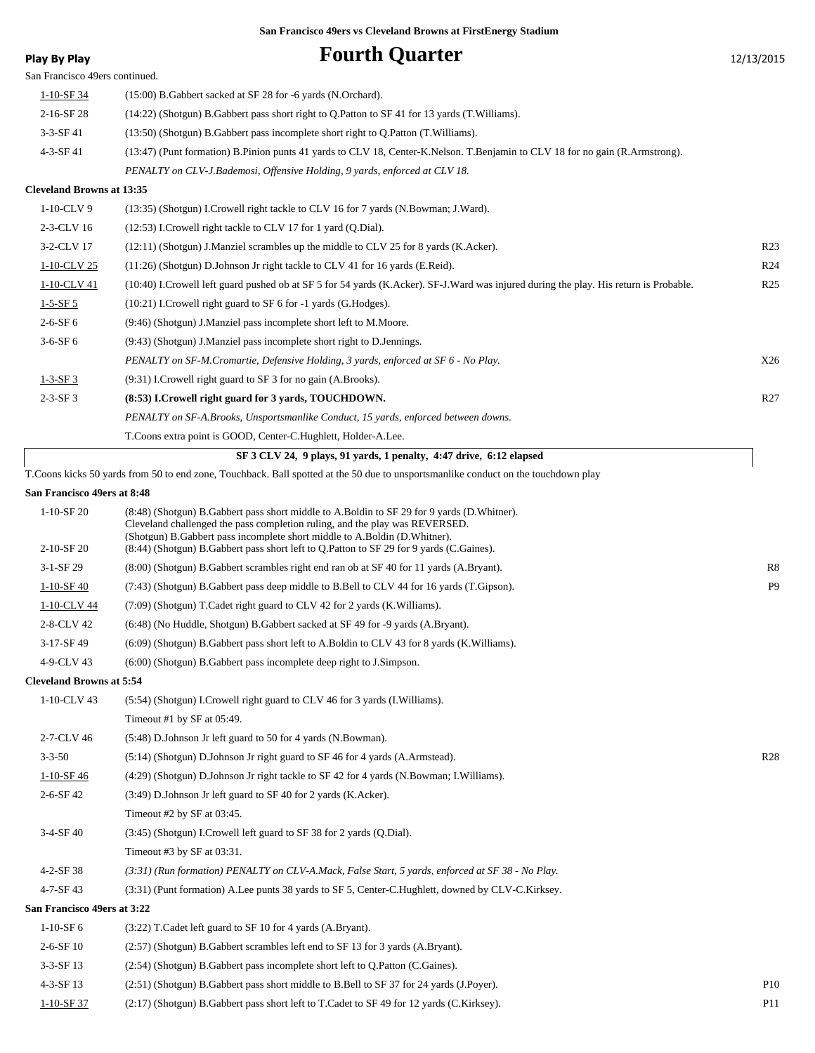| <b>Play By Play</b>              | <b>Fourth Quarter</b>                                                                                                                                       | 12/13/2015      |
|----------------------------------|-------------------------------------------------------------------------------------------------------------------------------------------------------------|-----------------|
| San Francisco 49ers continued.   |                                                                                                                                                             |                 |
| $1 - 10 - SF$ 34                 | $(15:00)$ B. Gabbert sacked at SF 28 for -6 yards (N. Orchard).                                                                                             |                 |
| 2-16-SF 28                       | (14:22) (Shotgun) B. Gabbert pass short right to Q. Patton to SF 41 for 13 yards (T. Williams).                                                             |                 |
| $3-3-SF$ 41                      | (13:50) (Shotgun) B. Gabbert pass incomplete short right to Q. Patton (T. Williams).                                                                        |                 |
| 4-3-SF 41                        | (13:47) (Punt formation) B.Pinion punts 41 yards to CLV 18, Center-K.Nelson. T.Benjamin to CLV 18 for no gain (R.Armstrong).                                |                 |
|                                  | PENALTY on CLV-J.Bademosi, Offensive Holding, 9 yards, enforced at CLV 18.                                                                                  |                 |
| <b>Cleveland Browns at 13:35</b> |                                                                                                                                                             |                 |
| 1-10-CLV 9                       | (13:35) (Shotgun) I.Crowell right tackle to CLV 16 for 7 yards (N.Bowman; J.Ward).                                                                          |                 |
| 2-3-CLV 16                       | $(12:53)$ I.Crowell right tackle to CLV 17 for 1 yard $(Q.Dial)$ .                                                                                          |                 |
| 3-2-CLV 17                       | $(12:11)$ (Shotgun) J.Manziel scrambles up the middle to CLV 25 for 8 yards (K.Acker).                                                                      | R <sub>23</sub> |
| 1-10-CLV 25                      | $(11:26)$ (Shotgun) D.Johnson Jr right tackle to CLV 41 for 16 yards (E.Reid).                                                                              | R <sub>24</sub> |
| 1-10-CLV 41                      | (10:40) I.Crowell left guard pushed ob at SF 5 for 54 yards (K.Acker). SF-J.Ward was injured during the play. His return is Probable.                       | R <sub>25</sub> |
| $1 - 5 - SF 5$                   | (10:21) I.Crowell right guard to SF 6 for -1 yards (G.Hodges).                                                                                              |                 |
| $2 - 6 - SF 6$                   | (9:46) (Shotgun) J.Manziel pass incomplete short left to M.Moore.                                                                                           |                 |
| $3-6-SF6$                        | (9:43) (Shotgun) J.Manziel pass incomplete short right to D.Jennings.                                                                                       |                 |
|                                  | PENALTY on SF-M.Cromartie, Defensive Holding, 3 yards, enforced at SF 6 - No Play.                                                                          | X26             |
| $1 - 3 - SF3$                    | (9:31) I.Crowell right guard to SF 3 for no gain (A.Brooks).                                                                                                |                 |
| $2 - 3 - SF3$                    | (8:53) I.Crowell right guard for 3 yards, TOUCHDOWN.                                                                                                        | R <sub>27</sub> |
|                                  | PENALTY on SF-A.Brooks, Unsportsmanlike Conduct, 15 yards, enforced between downs.                                                                          |                 |
|                                  | T. Coons extra point is GOOD, Center-C. Hughlett, Holder-A. Lee.                                                                                            |                 |
|                                  | SF 3 CLV 24, 9 plays, 91 yards, 1 penalty, 4:47 drive, 6:12 elapsed                                                                                         |                 |
|                                  | T. Coons kicks 50 yards from 50 to end zone, Touchback. Ball spotted at the 50 due to unsportsmanlike conduct on the touchdown play                         |                 |
| San Francisco 49ers at 8:48      |                                                                                                                                                             |                 |
| $1-10-SF20$                      | (8:48) (Shotgun) B.Gabbert pass short middle to A.Boldin to SF 29 for 9 yards (D.Whitner).                                                                  |                 |
|                                  | Cleveland challenged the pass completion ruling, and the play was REVERSED.<br>(Shotgun) B. Gabbert pass incomplete short middle to A. Boldin (D. Whitner). |                 |
| $2-10-SF$ 20                     | (8:44) (Shotgun) B.Gabbert pass short left to Q.Patton to SF 29 for 9 yards (C.Gaines).                                                                     |                 |
| $3-1-SF29$                       | (8:00) (Shotgun) B.Gabbert scrambles right end ran ob at SF 40 for 11 yards (A.Bryant).                                                                     | R8              |
| $1 - 10 - SF - 40$               | (7:43) (Shotgun) B.Gabbert pass deep middle to B.Bell to CLV 44 for 16 yards (T.Gipson).                                                                    | P <sub>9</sub>  |
| 1-10-CLV 44                      | (7:09) (Shotgun) T.Cadet right guard to CLV 42 for 2 yards (K.Williams).                                                                                    |                 |
| 2-8-CLV 42                       | (6:48) (No Huddle, Shotgun) B. Gabbert sacked at SF 49 for -9 yards (A.Bryant).                                                                             |                 |
| 3-17-SF 49                       | (6:09) (Shotgun) B.Gabbert pass short left to A.Boldin to CLV 43 for 8 yards (K.Williams).                                                                  |                 |
| 4-9-CLV 43                       | (6:00) (Shotgun) B. Gabbert pass incomplete deep right to J. Simpson.                                                                                       |                 |
| <b>Cleveland Browns at 5:54</b>  |                                                                                                                                                             |                 |
| 1-10-CLV 43                      | (5:54) (Shotgun) I.Crowell right guard to CLV 46 for 3 yards (I.Williams).                                                                                  |                 |
|                                  | Timeout #1 by SF at 05:49.                                                                                                                                  |                 |
| 2-7-CLV 46                       | (5:48) D.Johnson Jr left guard to 50 for 4 yards (N.Bowman).                                                                                                |                 |
| $3 - 3 - 50$                     | $(5:14)$ (Shotgun) D.Johnson Jr right guard to SF 46 for 4 yards (A.Armstead).                                                                              | R <sub>28</sub> |
| $1-10-SF$ 46                     | (4:29) (Shotgun) D.Johnson Jr right tackle to SF 42 for 4 yards (N.Bowman; I.Williams).                                                                     |                 |
| 2-6-SF 42                        | (3:49) D. Johnson Jr left guard to SF 40 for 2 yards (K. Acker).                                                                                            |                 |
|                                  | Timeout #2 by SF at 03:45.                                                                                                                                  |                 |
| $3-4-SF40$                       | (3:45) (Shotgun) I.Crowell left guard to SF 38 for 2 yards (Q.Dial).                                                                                        |                 |
|                                  | Timeout #3 by SF at 03:31.                                                                                                                                  |                 |
| 4-2-SF 38                        | $(3:31)$ (Run formation) PENALTY on CLV-A.Mack, False Start, 5 yards, enforced at SF 38 - No Play.                                                          |                 |
| 4-7-SF 43                        | (3:31) (Punt formation) A.Lee punts 38 yards to SF 5, Center-C.Hughlett, downed by CLV-C.Kirksey.                                                           |                 |
| San Francisco 49ers at 3:22      |                                                                                                                                                             |                 |
| $1-10-SF$ 6                      | (3:22) T. Cadet left guard to SF 10 for 4 yards (A. Bryant).                                                                                                |                 |
| 2-6-SF 10                        | (2.57) (Shotgun) B. Gabbert scrambles left end to SF 13 for 3 yards (A.Bryant).                                                                             |                 |
| 3-3-SF 13                        | (2:54) (Shotgun) B.Gabbert pass incomplete short left to Q.Patton (C.Gaines).                                                                               |                 |
| 4-3-SF 13                        | (2.51) (Shotgun) B. Gabbert pass short middle to B. Bell to SF 37 for 24 yards (J. Poyer).                                                                  | <b>P10</b>      |
| $1 - 10 - SF37$                  | (2:17) (Shotgun) B. Gabbert pass short left to T. Cadet to SF 49 for 12 yards (C. Kirksey).                                                                 | <b>P11</b>      |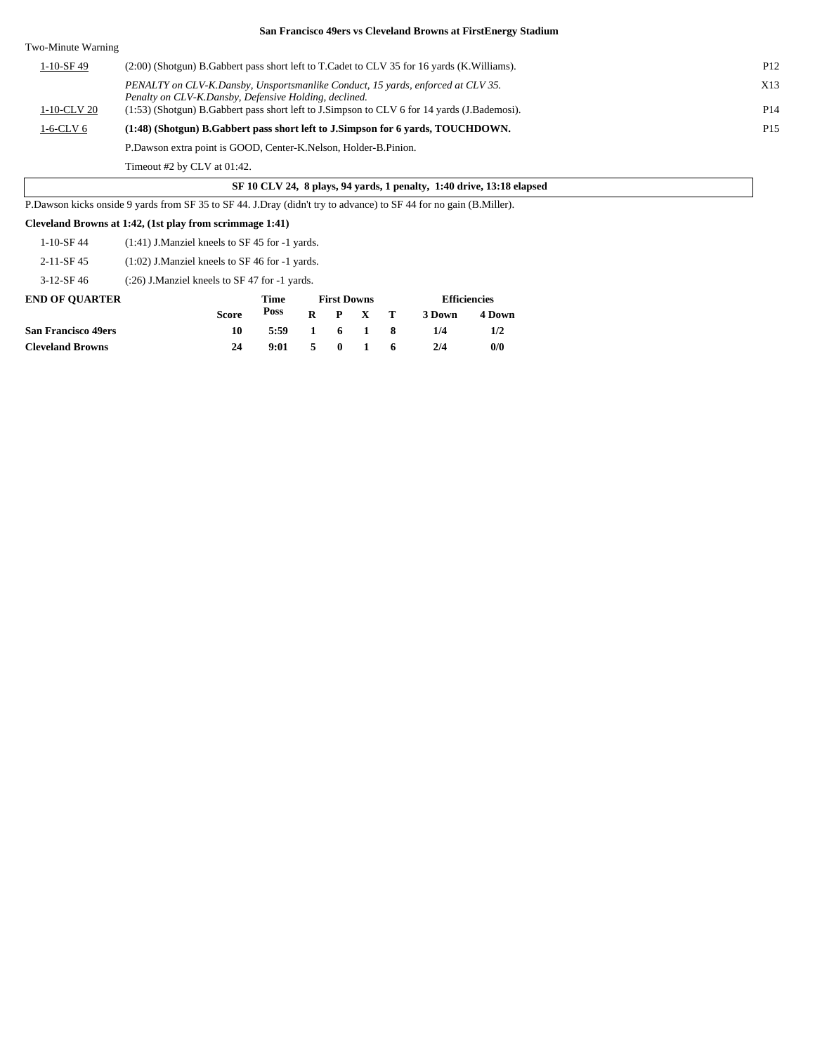| Two-Minute Warning |                                                                                                                                          |                 |
|--------------------|------------------------------------------------------------------------------------------------------------------------------------------|-----------------|
| $1-10-$ SF 49      | (2:00) (Shotgun) B. Gabbert pass short left to T. Cadet to CLV 35 for 16 yards (K. Williams).                                            | P <sub>12</sub> |
|                    | PENALTY on CLV-K.Dansby, Unsportsmanlike Conduct, 15 yards, enforced at CLV 35.<br>Penalty on CLV-K.Dansby, Defensive Holding, declined. | X13             |
| 1-10-CLV 20        | (1.53) (Shotgun) B. Gabbert pass short left to J. Simpson to CLV 6 for 14 yards (J. Bademosi).                                           | P <sub>14</sub> |
| 1-6-CLV 6          | (1:48) (Shotgun) B. Gabbert pass short left to J. Simpson for 6 yards, TOUCHDOWN.                                                        | P <sub>15</sub> |
|                    | P.Dawson extra point is GOOD, Center-K.Nelson, Holder-B.Pinion.                                                                          |                 |

Timeout #2 by CLV at 01:42.

### **SF 10 CLV 24, 8 plays, 94 yards, 1 penalty, 1:40 drive, 13:18 elapsed**

P.Dawson kicks onside 9 yards from SF 35 to SF 44. J.Dray (didn't try to advance) to SF 44 for no gain (B.Miller).

#### **Cleveland Browns at 1:42, (1st play from scrimmage 1:41)**

2-11-SF 45 (1:02) J.Manziel kneels to SF 46 for -1 yards.

3-12-SF 46 (:26) J.Manziel kneels to SF 47 for -1 yards.

| <b>END OF OUARTER</b>      |              | Time | <b>First Downs</b> |     |                 |  | <b>Efficiencies</b> |        |  |
|----------------------------|--------------|------|--------------------|-----|-----------------|--|---------------------|--------|--|
|                            | <b>Score</b> | Poss |                    |     | $R$ $P$ $X$ $T$ |  | 3 Down              | 4 Down |  |
| <b>San Francisco 49ers</b> | 10           | 5:59 |                    |     | 1 6 1 8         |  | 1/4                 | 1/2    |  |
| <b>Cleveland Browns</b>    | 24           | 9:01 | -5.                | - 0 | $\blacksquare$  |  | 2/4                 | 0/0    |  |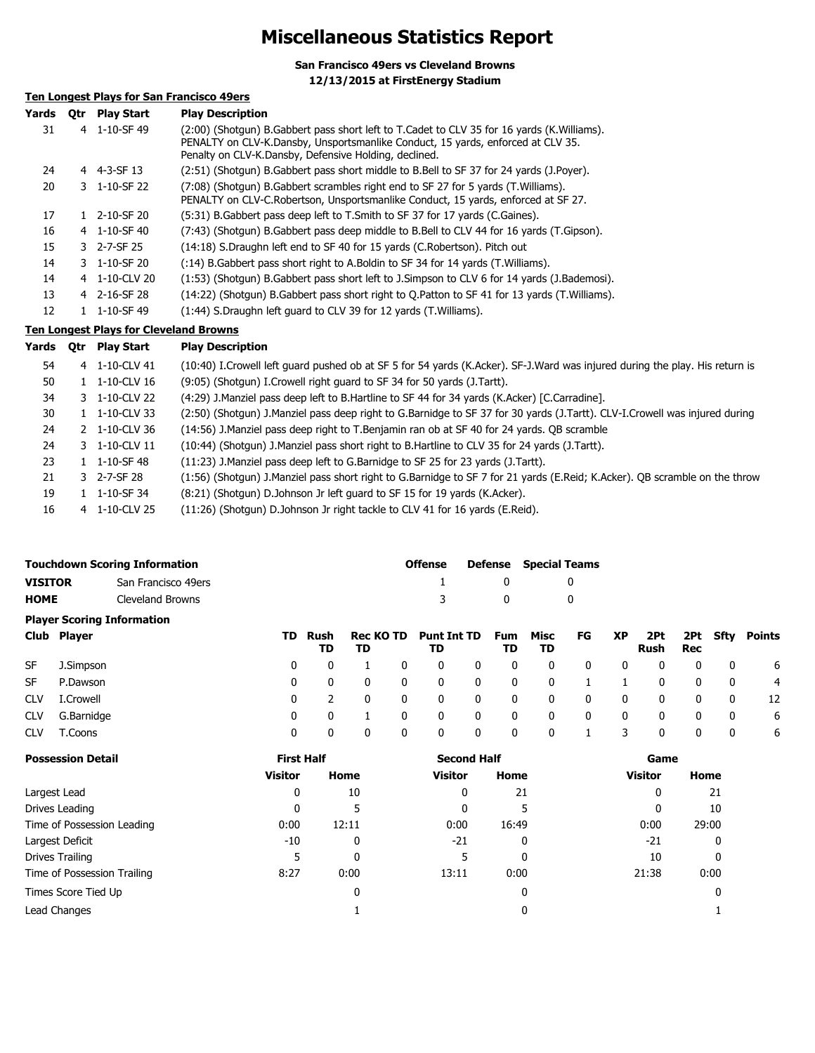## **Miscellaneous Statistics Report**

**San Francisco 49ers vs Cleveland Browns 12/13/2015 at FirstEnergy Stadium**

## **Ten Longest Plays for San Francisco 49ers**

| Yards | <b>Otr</b> | <b>Play Start</b> | <b>Play Description</b>                                                                                                                                                                                                                |
|-------|------------|-------------------|----------------------------------------------------------------------------------------------------------------------------------------------------------------------------------------------------------------------------------------|
| 31    |            | 4 1-10-SF 49      | (2:00) (Shotqun) B.Gabbert pass short left to T.Cadet to CLV 35 for 16 yards (K.Williams).<br>PENALTY on CLV-K.Dansby, Unsportsmanlike Conduct, 15 yards, enforced at CLV 35.<br>Penalty on CLV-K.Dansby, Defensive Holding, declined. |
| 24    |            | 4 4-3-SF 13       | (2:51) (Shotgun) B.Gabbert pass short middle to B.Bell to SF 37 for 24 yards (J.Poyer).                                                                                                                                                |
| 20    |            | 3 1-10-SF 22      | (7:08) (Shotgun) B.Gabbert scrambles right end to SF 27 for 5 yards (T.Williams).<br>PENALTY on CLV-C.Robertson, Unsportsmanlike Conduct, 15 yards, enforced at SF 27.                                                                 |
| 17    |            | 2-10-SF 20        | (5:31) B. Gabbert pass deep left to T. Smith to SF 37 for 17 yards (C. Gaines).                                                                                                                                                        |
| 16    |            | 4 1-10-SF 40      | (7:43) (Shotgun) B.Gabbert pass deep middle to B.Bell to CLV 44 for 16 yards (T.Gipson).                                                                                                                                               |
| 15    |            | 3 2-7-SF 25       | (14:18) S.Draughn left end to SF 40 for 15 yards (C.Robertson). Pitch out                                                                                                                                                              |
| 14    |            | 3 1-10-SF 20      | (:14) B. Gabbert pass short right to A. Boldin to SF 34 for 14 yards (T. Williams).                                                                                                                                                    |
| 14    |            | 4 1-10-CLV 20     | (1:53) (Shotgun) B.Gabbert pass short left to J.Simpson to CLV 6 for 14 yards (J.Bademosi).                                                                                                                                            |
| 13    |            | 4 2-16-SF 28      | (14:22) (Shotqun) B.Gabbert pass short right to O.Patton to SF 41 for 13 yards (T.Williams).                                                                                                                                           |
| 12    |            | 1-10-SF 49        | (1:44) S.Draughn left guard to CLV 39 for 12 yards (T.Williams).                                                                                                                                                                       |

### **Ten Longest Plays for Cleveland Browns**

| Yards | <b>Otr</b> | <b>Play Start</b>         | <b>Play Description</b>                                                                                                     |
|-------|------------|---------------------------|-----------------------------------------------------------------------------------------------------------------------------|
| 54    |            | 4 1-10-CLV 41             | (10:40) I.Crowell left guard pushed ob at SF 5 for 54 yards (K.Acker). SF-J.Ward was injured during the play. His return is |
| 50    |            | $1 \quad 1 - 10 - CLV16$  | (9:05) (Shotgun) I. Crowell right guard to SF 34 for 50 yards (J. Tartt).                                                   |
| 34    |            | 3 1-10-CLV 22             | (4:29) J.Manziel pass deep left to B.Hartline to SF 44 for 34 yards (K.Acker) [C.Carradine].                                |
| 30    |            | $1 \quad 1 - 10 - CLV$ 33 | (2:50) (Shotgun) J.Manziel pass deep right to G.Barnidge to SF 37 for 30 yards (J.Tartt). CLV-I.Crowell was injured during  |
| 24    |            | 2 1-10-CLV 36             | (14:56) J.Manziel pass deep right to T.Benjamin ran ob at SF 40 for 24 yards. OB scramble                                   |
| 24    |            | 3 1-10-CLV 11             | (10:44) (Shotgun) J.Manziel pass short right to B.Hartline to CLV 35 for 24 yards (J.Tartt).                                |
| 23    |            | 1 1-10-SF 48              | (11:23) J. Manziel pass deep left to G. Barnidge to SF 25 for 23 yards (J. Tartt).                                          |
| 21    |            | 3 2-7-SF 28               | (1:56) (Shotgun) J.Manziel pass short right to G.Barnidge to SF 7 for 21 yards (E.Reid; K.Acker). QB scramble on the throw  |
| 19    |            | $1 \quad 1 - 10 - SF$ 34  | (8:21) (Shotgun) D.Johnson Jr left guard to SF 15 for 19 yards (K.Acker).                                                   |
| 16    |            | 4 1-10-CLV 25             | (11:26) (Shotgun) D.Johnson Jr right tackle to CLV 41 for 16 yards (E.Reid).                                                |

| <b>Touchdown Scoring Information</b>                                            |                                   |  |     |            |                        |   |                          |              | <b>Defense</b>   | <b>Special Teams</b> |    |              |             |              |              |               |
|---------------------------------------------------------------------------------|-----------------------------------|--|-----|------------|------------------------|---|--------------------------|--------------|------------------|----------------------|----|--------------|-------------|--------------|--------------|---------------|
| <b>VISITOR</b><br>San Francisco 49ers<br><b>HOME</b><br><b>Cleveland Browns</b> |                                   |  |     |            |                        |   |                          |              | 0                |                      | 0  |              |             |              |              |               |
|                                                                                 |                                   |  |     |            |                        |   |                          |              | 0                | 0                    |    |              |             |              |              |               |
|                                                                                 | <b>Player Scoring Information</b> |  |     |            |                        |   |                          |              |                  |                      |    |              |             |              |              |               |
| Club                                                                            | <b>Player</b>                     |  | TD. | Rush<br>TD | <b>Rec KO TD</b><br>TD |   | <b>Punt Int TD</b><br>TD |              | <b>Fum</b><br>TD | Misc<br>TD           | FG | <b>XP</b>    | 2Pt<br>Rush | 2Pt<br>Rec   | Sfty         | <b>Points</b> |
| <b>SF</b>                                                                       | J.Simpson                         |  | 0   | 0          |                        | 0 | 0                        | 0            | 0                | 0                    | 0  | $\mathbf{0}$ |             | 0            | $\mathbf{0}$ | 6             |
| <b>SF</b>                                                                       | P.Dawson                          |  | 0   | 0          | 0                      | 0 | 0                        | $\mathbf{0}$ | 0                | 0                    |    |              | 0           | $\mathbf{0}$ | 0            | 4             |
| <b>CLV</b>                                                                      | I.Crowell                         |  | 0   | 2          | $\Omega$               | 0 | 0                        | $\mathbf{0}$ | 0                | 0                    | 0  | $\mathbf{0}$ | 0           | $\mathbf{0}$ | 0            | 12            |
| <b>CLV</b>                                                                      | G.Barnidge                        |  | 0   | 0          |                        | 0 | 0                        | $\mathbf{0}$ | 0                | 0                    | 0  | $\mathbf{0}$ | 0           | 0            | $\mathbf{0}$ | 6             |
| <b>CLV</b>                                                                      | T.Coons                           |  | 0   | 0          | 0                      | 0 | 0                        | 0            | 0                | 0                    |    |              | 0           | 0            | 0            | 6             |

| <b>Possession Detail</b>    | <b>First Half</b> |       | <b>Second Half</b> |       | Game           |       |  |
|-----------------------------|-------------------|-------|--------------------|-------|----------------|-------|--|
|                             | <b>Visitor</b>    | Home  | <b>Visitor</b>     | Home  | <b>Visitor</b> | Home  |  |
| Largest Lead                | 0                 | 10    | 0                  | 21    | 0              | 21    |  |
| Drives Leading              | 0                 |       | 0                  | 5     |                | 10    |  |
| Time of Possession Leading  | 0:00              | 12:11 | 0:00               | 16:49 | 0:00           | 29:00 |  |
| Largest Deficit             | $-10$             | 0     | $-21$              | 0     | -21            | 0     |  |
| Drives Trailing             |                   | 0     |                    | 0     | 10             | 0     |  |
| Time of Possession Trailing | 8:27              | 0:00  | 13:11              | 0:00  | 21:38          | 0:00  |  |
| Times Score Tied Up         |                   | 0     |                    | 0     |                | 0     |  |
| Lead Changes                |                   |       |                    | 0     |                |       |  |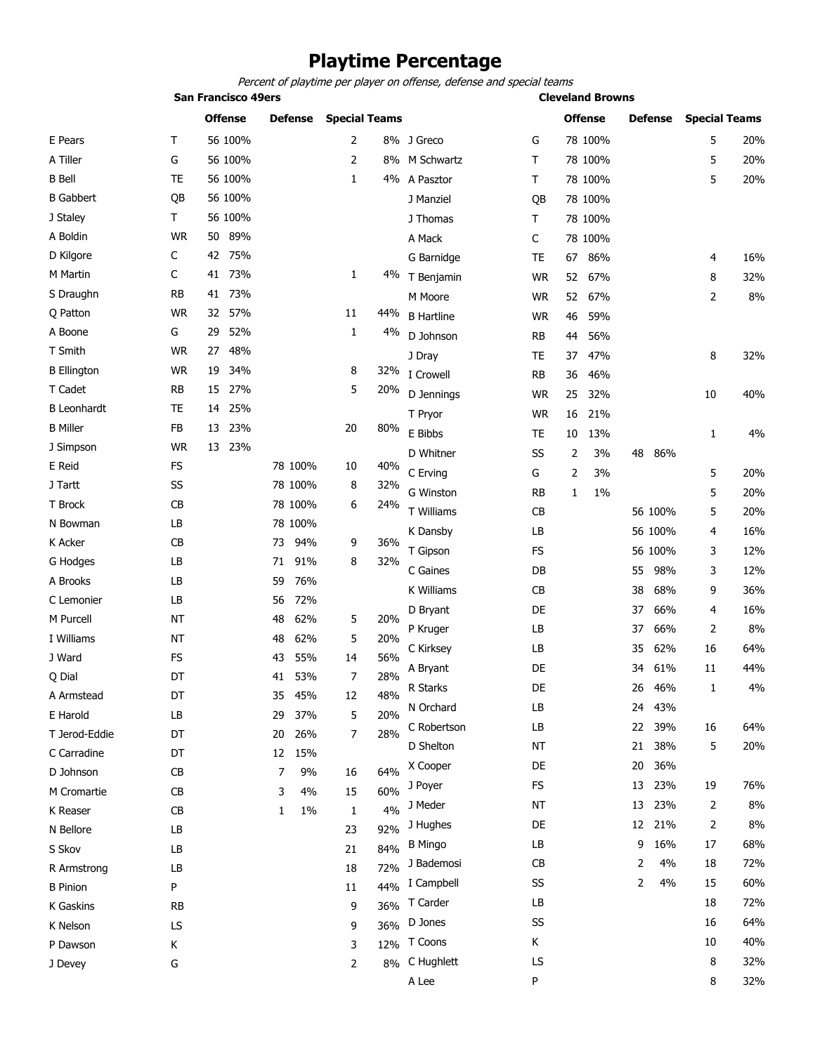## **Playtime Percentage**

*Percent of playtime per player on offense, defense and special teams*

|                    | <b>San Francisco 49ers</b> |                |                |            |                      |                   |           | <b>Cleveland Browns</b> |           |                      |     |  |  |  |
|--------------------|----------------------------|----------------|----------------|------------|----------------------|-------------------|-----------|-------------------------|-----------|----------------------|-----|--|--|--|
|                    |                            | <b>Offense</b> | <b>Defense</b> |            | <b>Special Teams</b> |                   |           | <b>Offense</b>          | Defense   | <b>Special Teams</b> |     |  |  |  |
| E Pears            | Τ                          | 56 100%        |                |            | 2                    | 8% J Greco        | G         | 78 100%                 |           | 5                    | 20% |  |  |  |
| A Tiller           | G                          | 56 100%        |                |            | 2                    | 8% M Schwartz     | T         | 78 100%                 |           | 5                    | 20% |  |  |  |
| <b>B</b> Bell      | <b>TE</b>                  | 56 100%        |                |            | $\mathbf{1}$         | 4% A Pasztor      | Τ         | 78 100%                 |           | 5                    | 20% |  |  |  |
| <b>B</b> Gabbert   | QB                         | 56 100%        |                |            |                      | J Manziel         | QB        | 78 100%                 |           |                      |     |  |  |  |
| J Staley           | Τ                          | 56 100%        |                |            |                      | J Thomas          | Τ         | 78 100%                 |           |                      |     |  |  |  |
| A Boldin           | <b>WR</b>                  | 89%<br>50      |                |            |                      | A Mack            | C         | 78 100%                 |           |                      |     |  |  |  |
| D Kilgore          | С                          | 42 75%         |                |            |                      | G Barnidge        | <b>TE</b> | 86%<br>67               |           | 4                    | 16% |  |  |  |
| M Martin           | C                          | 41 73%         |                | 1          |                      | 4% T Benjamin     | <b>WR</b> | 52<br>67%               |           | 8                    | 32% |  |  |  |
| S Draughn          | <b>RB</b>                  | 73%<br>41      |                |            |                      | M Moore           | <b>WR</b> | 52<br>67%               |           | 2                    | 8%  |  |  |  |
| Q Patton           | <b>WR</b>                  | 57%<br>32      |                | 11         | 44%                  | <b>B</b> Hartline | <b>WR</b> | 46<br>59%               |           |                      |     |  |  |  |
| A Boone            | G                          | 52%<br>29      |                | 1          | 4%                   | D Johnson         | RB        | 56%<br>44               |           |                      |     |  |  |  |
| T Smith            | <b>WR</b>                  | 48%<br>27      |                |            |                      | J Dray            | <b>TE</b> | 47%<br>37               |           | 8                    | 32% |  |  |  |
| <b>B</b> Ellington | <b>WR</b>                  | 34%<br>19      |                | 8          | 32%                  | I Crowell         | <b>RB</b> | 36<br>46%               |           |                      |     |  |  |  |
| T Cadet            | <b>RB</b>                  | 27%<br>15      |                |            | 5<br>20%             | D Jennings        | WR        | 25<br>32%               |           | 10                   | 40% |  |  |  |
| <b>B</b> Leonhardt | TE                         | 25%<br>14      |                |            |                      | T Pryor           | <b>WR</b> | 16<br>21%               |           |                      |     |  |  |  |
| <b>B</b> Miller    | FB                         | 23%<br>13      |                | 20         | 80%                  | E Bibbs           | <b>TE</b> | 13%<br>10               |           | 1                    | 4%  |  |  |  |
| J Simpson          | <b>WR</b>                  | 13<br>23%      |                |            |                      | D Whitner         | SS        | 3%<br>2                 | 48<br>86% |                      |     |  |  |  |
| E Reid             | <b>FS</b>                  |                | 78 100%        | 10         | 40%                  | C Erving          | G         | 3%                      |           |                      | 20% |  |  |  |
| J Tartt            | SS                         |                | 78 100%        | 8          | 32%                  |                   |           | 2                       |           | 5                    |     |  |  |  |
| T Brock            | CB                         |                | 78 100%        | 6          | 24%                  | G Winston         | <b>RB</b> | 1%<br>1                 |           | 5                    | 20% |  |  |  |
| N Bowman           | LB                         |                | 78 100%        |            |                      | T Williams        | CB        |                         | 56 100%   | 5                    | 20% |  |  |  |
| K Acker            | CB                         |                | 73             | 94%        | 36%<br>9             | K Dansby          | LB        |                         | 56 100%   | 4                    | 16% |  |  |  |
| G Hodges           | LB                         |                | 71             | 91%<br>8   | 32%                  | T Gipson          | FS        |                         | 56 100%   | 3                    | 12% |  |  |  |
| A Brooks           | LB                         |                | 59             | 76%        |                      | C Gaines          | DB        |                         | 98%<br>55 | 3                    | 12% |  |  |  |
| C Lemonier         | LB                         |                | 56             | 72%        |                      | K Williams        | CB        |                         | 68%<br>38 | 9                    | 36% |  |  |  |
| M Purcell          | <b>NT</b>                  |                | 48             | 62%<br>5   | 20%                  | D Bryant          | DE        |                         | 66%<br>37 | 4                    | 16% |  |  |  |
| I Williams         | <b>NT</b>                  |                | 48             | 62%<br>5   | 20%                  | P Kruger          | LB        |                         | 66%<br>37 | 2                    | 8%  |  |  |  |
| J Ward             | FS                         |                | 43             | 55%<br>14  | 56%                  | C Kirksey         | LB        |                         | 62%<br>35 | 16                   | 64% |  |  |  |
| Q Dial             | DT                         |                | 41             | 7<br>53%   | 28%                  | A Bryant          | DE        |                         | 61%<br>34 | 11                   | 44% |  |  |  |
| A Armstead         | DT                         |                | 35             | 45%<br>12  | 48%                  | R Starks          | DE        |                         | 26<br>46% | $\mathbf{1}$         | 4%  |  |  |  |
| E Harold           | LВ                         |                | 29             | 37%<br>5   | 20%                  | N Orchard         | LB        |                         | 43%<br>24 |                      |     |  |  |  |
| T Jerod-Eddie      | DT                         |                | 20             | 26%        | 7<br>28%             | C Robertson       | LB        |                         | 39%<br>22 | 16                   | 64% |  |  |  |
| C Carradine        | DT                         |                | 12 15%         |            |                      | D Shelton         | ΝT        |                         | 38%<br>21 | 5                    | 20% |  |  |  |
| D Johnson          | CB                         |                | 7              | 9%<br>16   | 64%                  | X Cooper          | DE        |                         | 36%<br>20 |                      |     |  |  |  |
| M Cromartie        | CB                         |                | 3              | 4%<br>15   | 60%                  | J Poyer           | FS        |                         | 23%<br>13 | 19                   | 76% |  |  |  |
| K Reaser           | CB                         |                | 1              | $1\%$<br>1 | 4%                   | J Meder           | NT        |                         | 23%<br>13 | 2                    | 8%  |  |  |  |
| N Bellore          | LB                         |                |                | 23         | 92%                  | J Hughes          | DE        |                         | 12 21%    | 2                    | 8%  |  |  |  |
| S Skov             | LB                         |                |                | 21         | 84%                  | <b>B</b> Mingo    | LB        |                         | 16%<br>9  | 17                   | 68% |  |  |  |
| R Armstrong        | LB                         |                |                | 18         | 72%                  | J Bademosi        | CB        |                         | 4%<br>2   | 18                   | 72% |  |  |  |
| <b>B</b> Pinion    | P                          |                |                | 11         | 44%                  | I Campbell        | SS        |                         | 2<br>4%   | 15                   | 60% |  |  |  |
| K Gaskins          | RB                         |                |                | 9          | 36%                  | T Carder          | LB        |                         |           | 18                   | 72% |  |  |  |
| K Nelson           | LS                         |                |                | 9          | 36%                  | D Jones           | SS        |                         |           | 16                   | 64% |  |  |  |
| P Dawson           | K                          |                |                | 3          | 12%                  | T Coons           | К         |                         |           | 10                   | 40% |  |  |  |
| J Devey            | G                          |                |                |            | 2                    | 8% C Hughlett     | LS        |                         |           | 8                    | 32% |  |  |  |
|                    |                            |                |                |            |                      | A Lee             | P         |                         |           | 8                    | 32% |  |  |  |